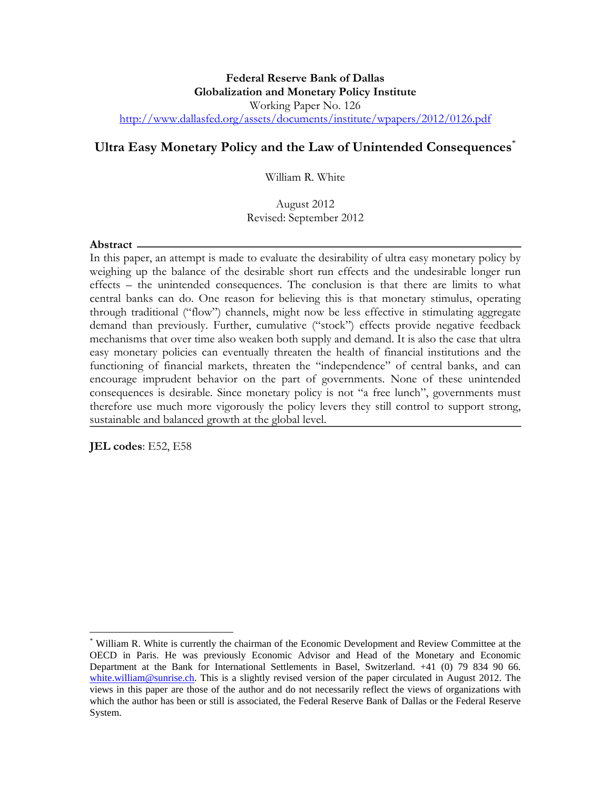#### **Federal Reserve Bank of Dallas Globalization and Monetary Policy Institute**  Working Paper No. 126 http://www.dallasfed.org/assets/documents/institute/wpapers/2012/0126.pdf

# **Ultra Easy Monetary Policy and the Law of Unintended Consequences**\*

William R. White

#### August 2012 Revised: September 2012

#### **Abstract**

In this paper, an attempt is made to evaluate the desirability of ultra easy monetary policy by weighing up the balance of the desirable short run effects and the undesirable longer run effects – the unintended consequences. The conclusion is that there are limits to what central banks can do. One reason for believing this is that monetary stimulus, operating through traditional ("flow") channels, might now be less effective in stimulating aggregate demand than previously. Further, cumulative ("stock") effects provide negative feedback mechanisms that over time also weaken both supply and demand. It is also the case that ultra easy monetary policies can eventually threaten the health of financial institutions and the functioning of financial markets, threaten the "independence" of central banks, and can encourage imprudent behavior on the part of governments. None of these unintended consequences is desirable. Since monetary policy is not "a free lunch", governments must therefore use much more vigorously the policy levers they still control to support strong, sustainable and balanced growth at the global level.

**JEL codes**: E52, E58

 $\overline{a}$ 

<sup>\*</sup> William R. White is currently the chairman of the Economic Development and Review Committee at the OECD in Paris. He was previously Economic Advisor and Head of the Monetary and Economic Department at the Bank for International Settlements in Basel, Switzerland. +41 (0) 79 834 90 66. white.william@sunrise.ch. This is a slightly revised version of the paper circulated in August 2012. The views in this paper are those of the author and do not necessarily reflect the views of organizations with which the author has been or still is associated, the Federal Reserve Bank of Dallas or the Federal Reserve System.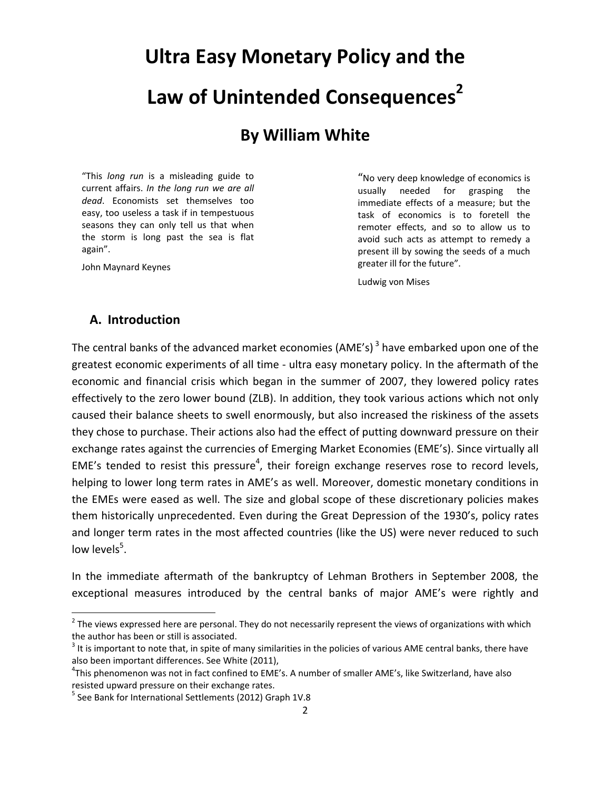# **Ultra Easy Monetary Policy and the Law of Unintended Consequences<sup>2</sup>**

# **By William White**

"This *long run* is a misleading guide to current affairs. *In the long run we are all dead*. Economists set themselves too easy, too useless a task if in tempestuous seasons they can only tell us that when the storm is long past the sea is flat again".

John Maynard Keynes

"No very deep knowledge of economics is usually needed for grasping the immediate effects of a measure; but the task of economics is to foretell the remoter effects, and so to allow us to avoid such acts as attempt to remedy a present ill by sowing the seeds of a much greater ill for the future".

Ludwig von Mises

# **A. Introduction**

The central banks of the advanced market economies (AME's)<sup>3</sup> have embarked upon one of the greatest economic experiments of all time ‐ ultra easy monetary policy. In the aftermath of the economic and financial crisis which began in the summer of 2007, they lowered policy rates effectively to the zero lower bound (ZLB). In addition, they took various actions which not only caused their balance sheets to swell enormously, but also increased the riskiness of the assets they chose to purchase. Their actions also had the effect of putting downward pressure on their exchange rates against the currencies of Emerging Market Economies (EME's). Since virtually all EME's tended to resist this pressure<sup>4</sup>, their foreign exchange reserves rose to record levels, helping to lower long term rates in AME's as well. Moreover, domestic monetary conditions in the EMEs were eased as well. The size and global scope of these discretionary policies makes them historically unprecedented. Even during the Great Depression of the 1930's, policy rates and longer term rates in the most affected countries (like the US) were never reduced to such low levels<sup>5</sup>.

In the immediate aftermath of the bankruptcy of Lehman Brothers in September 2008, the exceptional measures introduced by the central banks of major AME's were rightly and

 $2$  The views expressed here are personal. They do not necessarily represent the views of organizations with which the author has been or still is associated.<br> $3$  It is important to note that, in spite of many similarities in the policies of various AME central banks, there have

also been important differences. See White (2011),

<sup>&</sup>lt;sup>4</sup>This phenomenon was not in fact confined to EME's. A number of smaller AME's, like Switzerland, have also resisted upward pressure on their exchange rates.<br><sup>5</sup> See Bank for International Settlements (2012) Graph 1V.8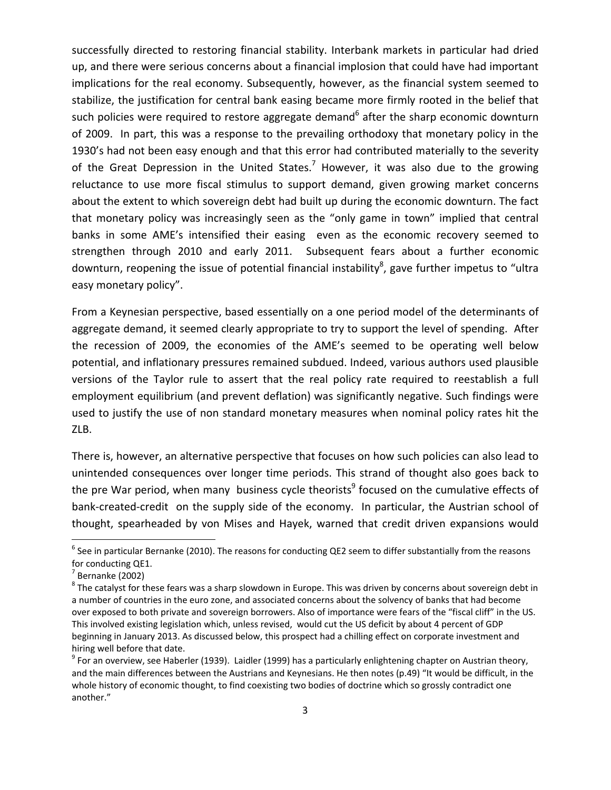successfully directed to restoring financial stability. Interbank markets in particular had dried up, and there were serious concerns about a financial implosion that could have had important implications for the real economy. Subsequently, however, as the financial system seemed to stabilize, the justification for central bank easing became more firmly rooted in the belief that such policies were required to restore aggregate demand<sup>6</sup> after the sharp economic downturn of 2009. In part, this was a response to the prevailing orthodoxy that monetary policy in the 1930's had not been easy enough and that this error had contributed materially to the severity of the Great Depression in the United States.<sup>7</sup> However, it was also due to the growing reluctance to use more fiscal stimulus to support demand, given growing market concerns about the extent to which sovereign debt had built up during the economic downturn. The fact that monetary policy was increasingly seen as the "only game in town" implied that central banks in some AME's intensified their easing even as the economic recovery seemed to strengthen through 2010 and early 2011. Subsequent fears about a further economic downturn, reopening the issue of potential financial instability<sup>8</sup>, gave further impetus to "ultra easy monetary policy".

From a Keynesian perspective, based essentially on a one period model of the determinants of aggregate demand, it seemed clearly appropriate to try to support the level of spending. After the recession of 2009, the economies of the AME's seemed to be operating well below potential, and inflationary pressures remained subdued. Indeed, various authors used plausible versions of the Taylor rule to assert that the real policy rate required to reestablish a full employment equilibrium (and prevent deflation) was significantly negative. Such findings were used to justify the use of non standard monetary measures when nominal policy rates hit the ZLB.

There is, however, an alternative perspective that focuses on how such policies can also lead to unintended consequences over longer time periods. This strand of thought also goes back to the pre War period, when many business cycle theorists<sup>9</sup> focused on the cumulative effects of bank-created-credit on the supply side of the economy. In particular, the Austrian school of thought, spearheaded by von Mises and Hayek, warned that credit driven expansions would

 $6$  See in particular Bernanke (2010). The reasons for conducting QE2 seem to differ substantially from the reasons for conducting QE1.<br><sup>7</sup> Bernanke (2002)<br><sup>8</sup> The catalyst for these fears was a sharp slowdown in Europe. This was driven by concerns about sovereign debt in

a number of countries in the euro zone, and associated concerns about the solvency of banks that had become over exposed to both private and sovereign borrowers. Also of importance were fears of the "fiscal cliff" in the US. This involved existing legislation which, unless revised, would cut the US deficit by about 4 percent of GDP beginning in January 2013. As discussed below, this prospect had a chilling effect on corporate investment and hiring well before that date.<br><sup>9</sup> For an overview, see Haberler (1939). Laidler (1999) has a particularly enlightening chapter on Austrian theory,

and the main differences between the Austrians and Keynesians. He then notes (p.49) "It would be difficult, in the whole history of economic thought, to find coexisting two bodies of doctrine which so grossly contradict one another."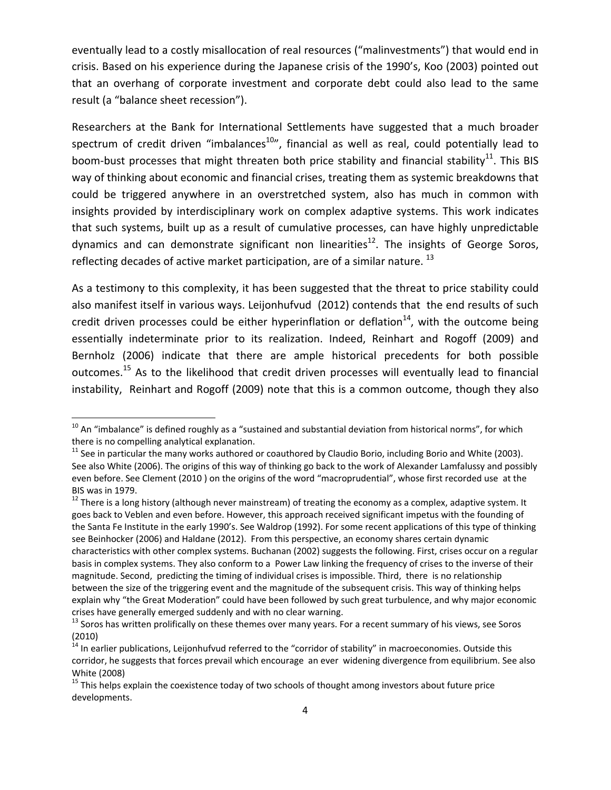eventually lead to a costly misallocation of real resources ("malinvestments") that would end in crisis. Based on his experience during the Japanese crisis of the 1990's, Koo (2003) pointed out that an overhang of corporate investment and corporate debt could also lead to the same result (a "balance sheet recession").

Researchers at the Bank for International Settlements have suggested that a much broader spectrum of credit driven "imbalances<sup>10</sup>", financial as well as real, could potentially lead to boom-bust processes that might threaten both price stability and financial stability<sup>11</sup>. This BIS way of thinking about economic and financial crises, treating them as systemic breakdowns that could be triggered anywhere in an overstretched system, also has much in common with insights provided by interdisciplinary work on complex adaptive systems. This work indicates that such systems, built up as a result of cumulative processes, can have highly unpredictable dynamics and can demonstrate significant non linearities<sup>12</sup>. The insights of George Soros, reflecting decades of active market participation, are of a similar nature.  $^{13}$ 

As a testimony to this complexity, it has been suggested that the threat to price stability could also manifest itself in various ways. Leijonhufvud (2012) contends that the end results of such credit driven processes could be either hyperinflation or deflation<sup>14</sup>, with the outcome being essentially indeterminate prior to its realization. Indeed, Reinhart and Rogoff (2009) and Bernholz (2006) indicate that there are ample historical precedents for both possible outcomes.<sup>15</sup> As to the likelihood that credit driven processes will eventually lead to financial instability, Reinhart and Rogoff (2009) note that this is a common outcome, though they also

 $10$  An "imbalance" is defined roughly as a "sustained and substantial deviation from historical norms", for which there is no compelling analytical explanation.<br><sup>11</sup> See in particular the many works authored or coauthored by Claudio Borio, including Borio and White (2003).

See also White (2006). The origins of this way of thinking go back to the work of Alexander Lamfalussy and possibly even before. See Clement (2010 ) on the origins of the word "macroprudential", whose first recorded use at the BIS was in 1979.<br><sup>12</sup> There is a long history (although never mainstream) of treating the economy as a complex, adaptive system. It

goes back to Veblen and even before. However, this approach received significant impetus with the founding of the Santa Fe Institute in the early 1990's. See Waldrop (1992). For some recent applications of this type of thinking see Beinhocker (2006) and Haldane (2012). From this perspective, an economy shares certain dynamic characteristics with other complex systems. Buchanan (2002) suggests the following. First, crises occur on a regular basis in complex systems. They also conform to a Power Law linking the frequency of crises to the inverse of their magnitude. Second, predicting the timing of individual crises is impossible. Third, there is no relationship between the size of the triggering event and the magnitude of the subsequent crisis. This way of thinking helps explain why "the Great Moderation" could have been followed by such great turbulence, and why major economic crises have generally emerged suddenly and with no clear warning.<br> $13$  Soros has written prolifically on these themes over many years. For a recent summary of his views, see Soros

<sup>(2010)</sup>

 $14$  In earlier publications, Leijonhufvud referred to the "corridor of stability" in macroeconomies. Outside this corridor, he suggests that forces prevail which encourage an ever widening divergence from equilibrium. See also White (2008)<br><sup>15</sup> This helps explain the coexistence today of two schools of thought among investors about future price

developments.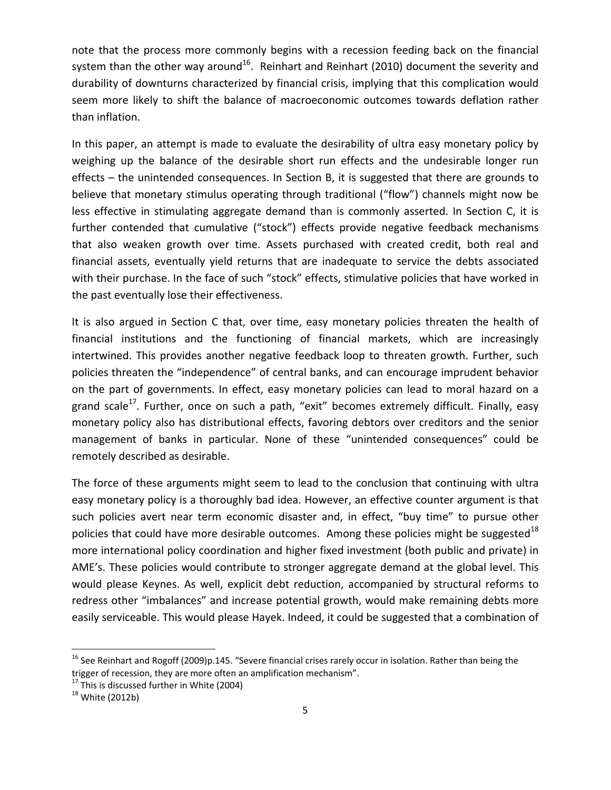note that the process more commonly begins with a recession feeding back on the financial system than the other way around<sup>16</sup>. Reinhart and Reinhart (2010) document the severity and durability of downturns characterized by financial crisis, implying that this complication would seem more likely to shift the balance of macroeconomic outcomes towards deflation rather than inflation.

In this paper, an attempt is made to evaluate the desirability of ultra easy monetary policy by weighing up the balance of the desirable short run effects and the undesirable longer run effects – the unintended consequences. In Section B, it is suggested that there are grounds to believe that monetary stimulus operating through traditional ("flow") channels might now be less effective in stimulating aggregate demand than is commonly asserted. In Section C, it is further contended that cumulative ("stock") effects provide negative feedback mechanisms that also weaken growth over time. Assets purchased with created credit, both real and financial assets, eventually yield returns that are inadequate to service the debts associated with their purchase. In the face of such "stock" effects, stimulative policies that have worked in the past eventually lose their effectiveness.

It is also argued in Section C that, over time, easy monetary policies threaten the health of financial institutions and the functioning of financial markets, which are increasingly intertwined. This provides another negative feedback loop to threaten growth. Further, such policies threaten the "independence" of central banks, and can encourage imprudent behavior on the part of governments. In effect, easy monetary policies can lead to moral hazard on a grand scale<sup>17</sup>. Further, once on such a path, "exit" becomes extremely difficult. Finally, easy monetary policy also has distributional effects, favoring debtors over creditors and the senior management of banks in particular. None of these "unintended consequences" could be remotely described as desirable.

The force of these arguments might seem to lead to the conclusion that continuing with ultra easy monetary policy is a thoroughly bad idea. However, an effective counter argument is that such policies avert near term economic disaster and, in effect, "buy time" to pursue other policies that could have more desirable outcomes. Among these policies might be suggested<sup>18</sup> more international policy coordination and higher fixed investment (both public and private) in AME's. These policies would contribute to stronger aggregate demand at the global level. This would please Keynes. As well, explicit debt reduction, accompanied by structural reforms to redress other "imbalances" and increase potential growth, would make remaining debts more easily serviceable. This would please Hayek. Indeed, it could be suggested that a combination of

 $16$  See Reinhart and Rogoff (2009)p.145. "Severe financial crises rarely occur in isolation. Rather than being the trigger of recession, they are more often an amplification mechanism".<br><sup>17</sup> This is discussed further in White (2004)<br><sup>18</sup> White (2012b)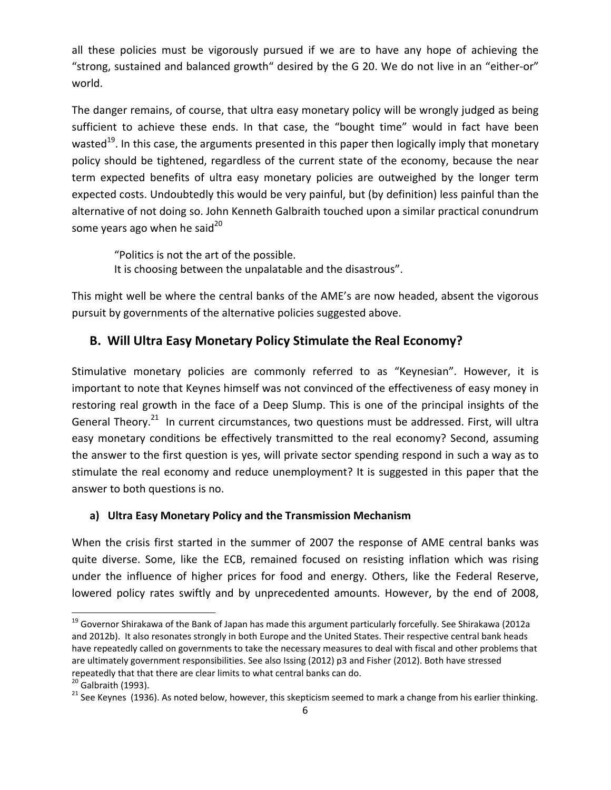all these policies must be vigorously pursued if we are to have any hope of achieving the "strong, sustained and balanced growth" desired by the G 20. We do not live in an "either‐or" world.

The danger remains, of course, that ultra easy monetary policy will be wrongly judged as being sufficient to achieve these ends. In that case, the "bought time" would in fact have been wasted<sup>19</sup>. In this case, the arguments presented in this paper then logically imply that monetary policy should be tightened, regardless of the current state of the economy, because the near term expected benefits of ultra easy monetary policies are outweighed by the longer term expected costs. Undoubtedly this would be very painful, but (by definition) less painful than the alternative of not doing so. John Kenneth Galbraith touched upon a similar practical conundrum some years ago when he said $^{20}$ 

"Politics is not the art of the possible. It is choosing between the unpalatable and the disastrous".

This might well be where the central banks of the AME's are now headed, absent the vigorous pursuit by governments of the alternative policies suggested above.

# **B. Will Ultra Easy Monetary Policy Stimulate the Real Economy?**

Stimulative monetary policies are commonly referred to as "Keynesian". However, it is important to note that Keynes himself was not convinced of the effectiveness of easy money in restoring real growth in the face of a Deep Slump. This is one of the principal insights of the General Theory.<sup>21</sup> In current circumstances, two questions must be addressed. First, will ultra easy monetary conditions be effectively transmitted to the real economy? Second, assuming the answer to the first question is yes, will private sector spending respond in such a way as to stimulate the real economy and reduce unemployment? It is suggested in this paper that the answer to both questions is no.

# **a) Ultra Easy Monetary Policy and the Transmission Mechanism**

When the crisis first started in the summer of 2007 the response of AME central banks was quite diverse. Some, like the ECB, remained focused on resisting inflation which was rising under the influence of higher prices for food and energy. Others, like the Federal Reserve, lowered policy rates swiftly and by unprecedented amounts. However, by the end of 2008,

 $^{19}$  Governor Shirakawa of the Bank of Japan has made this argument particularly forcefully. See Shirakawa (2012a and 2012b). It also resonates strongly in both Europe and the United States. Their respective central bank heads have repeatedly called on governments to take the necessary measures to deal with fiscal and other problems that are ultimately government responsibilities. See also Issing (2012) p3 and Fisher (2012). Both have stressed repeatedly that that there are clear limits to what central banks can do.<br><sup>20</sup> Galbraith (1993).<br><sup>21</sup> See Keynes (1936). As noted below, however, this skepticism seemed to mark a change from his earlier thinking.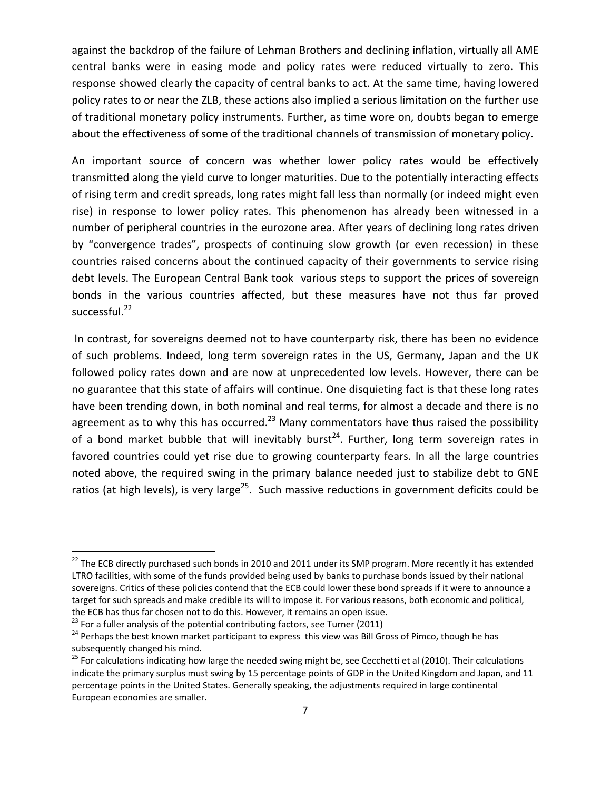against the backdrop of the failure of Lehman Brothers and declining inflation, virtually all AME central banks were in easing mode and policy rates were reduced virtually to zero. This response showed clearly the capacity of central banks to act. At the same time, having lowered policy rates to or near the ZLB, these actions also implied a serious limitation on the further use of traditional monetary policy instruments. Further, as time wore on, doubts began to emerge about the effectiveness of some of the traditional channels of transmission of monetary policy.

An important source of concern was whether lower policy rates would be effectively transmitted along the yield curve to longer maturities. Due to the potentially interacting effects of rising term and credit spreads, long rates might fall less than normally (or indeed might even rise) in response to lower policy rates. This phenomenon has already been witnessed in a number of peripheral countries in the eurozone area. After years of declining long rates driven by "convergence trades", prospects of continuing slow growth (or even recession) in these countries raised concerns about the continued capacity of their governments to service rising debt levels. The European Central Bank took various steps to support the prices of sovereign bonds in the various countries affected, but these measures have not thus far proved successful. $^{22}$ 

In contrast, for sovereigns deemed not to have counterparty risk, there has been no evidence of such problems. Indeed, long term sovereign rates in the US, Germany, Japan and the UK followed policy rates down and are now at unprecedented low levels. However, there can be no guarantee that this state of affairs will continue. One disquieting fact is that these long rates have been trending down, in both nominal and real terms, for almost a decade and there is no agreement as to why this has occurred.<sup>23</sup> Many commentators have thus raised the possibility of a bond market bubble that will inevitably burst<sup>24</sup>. Further, long term sovereign rates in favored countries could yet rise due to growing counterparty fears. In all the large countries noted above, the required swing in the primary balance needed just to stabilize debt to GNE ratios (at high levels), is very large<sup>25</sup>. Such massive reductions in government deficits could be

<sup>&</sup>lt;sup>22</sup> The ECB directly purchased such bonds in 2010 and 2011 under its SMP program. More recently it has extended LTRO facilities, with some of the funds provided being used by banks to purchase bonds issued by their national sovereigns. Critics of these policies contend that the ECB could lower these bond spreads if it were to announce a target for such spreads and make credible its will to impose it. For various reasons, both economic and political,

the ECB has thus far chosen not to do this. However, it remains an open issue.<br><sup>23</sup> For a fuller analysis of the potential contributing factors, see Turner (2011)<br><sup>24</sup> Perhaps the best known market participant to express t

<sup>&</sup>lt;sup>25</sup> For calculations indicating how large the needed swing might be, see Cecchetti et al (2010). Their calculations indicate the primary surplus must swing by 15 percentage points of GDP in the United Kingdom and Japan, and 11 percentage points in the United States. Generally speaking, the adjustments required in large continental European economies are smaller.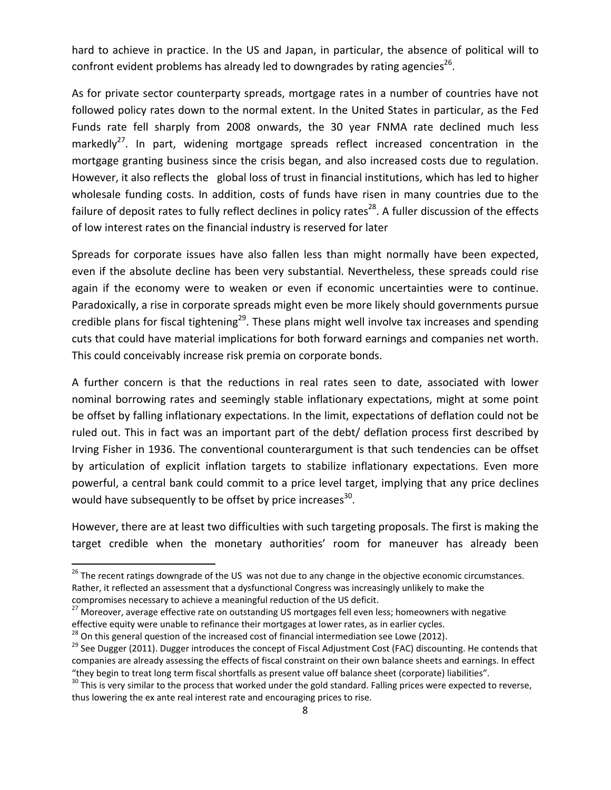hard to achieve in practice. In the US and Japan, in particular, the absence of political will to confront evident problems has already led to downgrades by rating agencies<sup>26</sup>.

As for private sector counterparty spreads, mortgage rates in a number of countries have not followed policy rates down to the normal extent. In the United States in particular, as the Fed Funds rate fell sharply from 2008 onwards, the 30 year FNMA rate declined much less markedly<sup>27</sup>. In part, widening mortgage spreads reflect increased concentration in the mortgage granting business since the crisis began, and also increased costs due to regulation. However, it also reflects the global loss of trust in financial institutions, which has led to higher wholesale funding costs. In addition, costs of funds have risen in many countries due to the failure of deposit rates to fully reflect declines in policy rates<sup>28</sup>. A fuller discussion of the effects of low interest rates on the financial industry is reserved for later

Spreads for corporate issues have also fallen less than might normally have been expected, even if the absolute decline has been very substantial. Nevertheless, these spreads could rise again if the economy were to weaken or even if economic uncertainties were to continue. Paradoxically, a rise in corporate spreads might even be more likely should governments pursue credible plans for fiscal tightening<sup>29</sup>. These plans might well involve tax increases and spending cuts that could have material implications for both forward earnings and companies net worth. This could conceivably increase risk premia on corporate bonds.

A further concern is that the reductions in real rates seen to date, associated with lower nominal borrowing rates and seemingly stable inflationary expectations, might at some point be offset by falling inflationary expectations. In the limit, expectations of deflation could not be ruled out. This in fact was an important part of the debt/ deflation process first described by Irving Fisher in 1936. The conventional counterargument is that such tendencies can be offset by articulation of explicit inflation targets to stabilize inflationary expectations. Even more powerful, a central bank could commit to a price level target, implying that any price declines would have subsequently to be offset by price increases $^{30}$ .

However, there are at least two difficulties with such targeting proposals. The first is making the target credible when the monetary authorities' room for maneuver has already been

 $26$  The recent ratings downgrade of the US was not due to any change in the objective economic circumstances. Rather, it reflected an assessment that a dysfunctional Congress was increasingly unlikely to make the

compromises necessary to achieve a meaningful reduction of the US deficit.<br><sup>27</sup> Moreover, average effective rate on outstanding US mortgages fell even less; homeowners with negative effective equity were unable to refinance their mortgages at lower rates, as in earlier cycles.<br><sup>28</sup> On this general question of the increased cost of financial intermediation see Lowe (2012).<br><sup>29</sup> See Dugger (2011). Dugge

companies are already assessing the effects of fiscal constraint on their own balance sheets and earnings. In effect "they begin to treat long term fiscal shortfalls as present value off balance sheet (corporate) liabilities".<br><sup>30</sup> This is very similar to the process that worked under the gold standard. Falling prices were expected to r

thus lowering the ex ante real interest rate and encouraging prices to rise.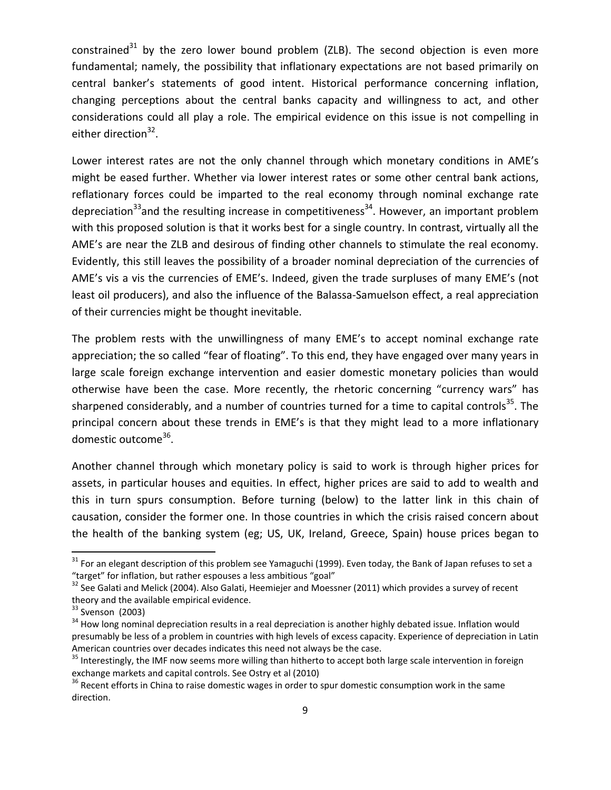constrained<sup>31</sup> by the zero lower bound problem (ZLB). The second objection is even more fundamental; namely, the possibility that inflationary expectations are not based primarily on central banker's statements of good intent. Historical performance concerning inflation, changing perceptions about the central banks capacity and willingness to act, and other considerations could all play a role. The empirical evidence on this issue is not compelling in either direction<sup>32</sup>.

Lower interest rates are not the only channel through which monetary conditions in AME's might be eased further. Whether via lower interest rates or some other central bank actions, reflationary forces could be imparted to the real economy through nominal exchange rate depreciation<sup>33</sup> and the resulting increase in competitiveness<sup>34</sup>. However, an important problem with this proposed solution is that it works best for a single country. In contrast, virtually all the AME's are near the ZLB and desirous of finding other channels to stimulate the real economy. Evidently, this still leaves the possibility of a broader nominal depreciation of the currencies of AME's vis a vis the currencies of EME's. Indeed, given the trade surpluses of many EME's (not least oil producers), and also the influence of the Balassa‐Samuelson effect, a real appreciation of their currencies might be thought inevitable.

The problem rests with the unwillingness of many EME's to accept nominal exchange rate appreciation; the so called "fear of floating". To this end, they have engaged over many years in large scale foreign exchange intervention and easier domestic monetary policies than would otherwise have been the case. More recently, the rhetoric concerning "currency wars" has sharpened considerably, and a number of countries turned for a time to capital controls<sup>35</sup>. The principal concern about these trends in EME's is that they might lead to a more inflationary domestic outcome<sup>36</sup>.

Another channel through which monetary policy is said to work is through higher prices for assets, in particular houses and equities. In effect, higher prices are said to add to wealth and this in turn spurs consumption. Before turning (below) to the latter link in this chain of causation, consider the former one. In those countries in which the crisis raised concern about the health of the banking system (eg; US, UK, Ireland, Greece, Spain) house prices began to

 $31$  For an elegant description of this problem see Yamaguchi (1999). Even today, the Bank of Japan refuses to set a

<sup>&</sup>quot;target" for inflation, but rather espouses a less ambitious "goal"<br><sup>32</sup> See Galati and Melick (2004). Also Galati, Heemiejer and Moessner (2011) which provides a survey of recent<br>theory and the available empirical evidenc

<sup>&</sup>lt;sup>33</sup> Svenson (2003)<br><sup>34</sup> How long nominal depreciation results in a real depreciation is another highly debated issue. Inflation would presumably be less of a problem in countries with high levels of excess capacity. Experience of depreciation in Latin

American countries over decades indicates this need not always be the case.<br><sup>35</sup> Interestingly, the IMF now seems more willing than hitherto to accept both large scale intervention in foreign<br>exchange markets and capital

 $36$  Recent efforts in China to raise domestic wages in order to spur domestic consumption work in the same direction.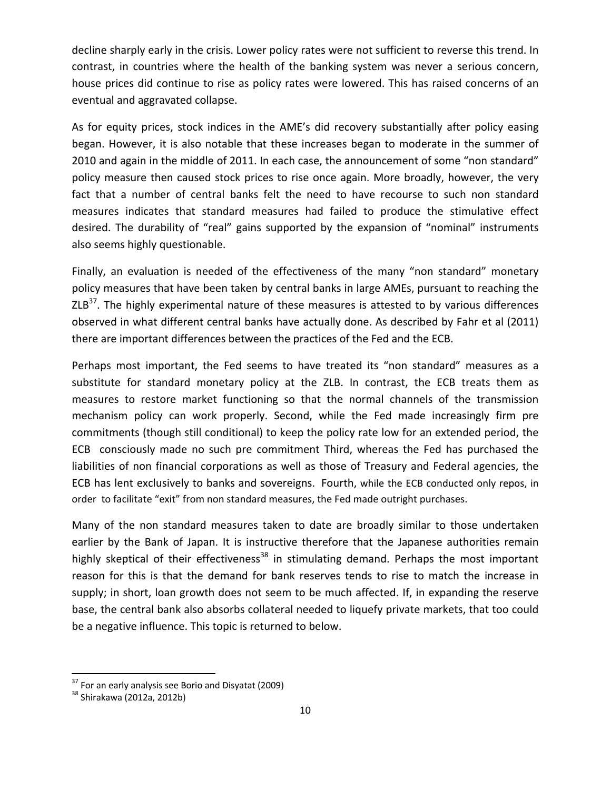decline sharply early in the crisis. Lower policy rates were not sufficient to reverse this trend. In contrast, in countries where the health of the banking system was never a serious concern, house prices did continue to rise as policy rates were lowered. This has raised concerns of an eventual and aggravated collapse.

As for equity prices, stock indices in the AME's did recovery substantially after policy easing began. However, it is also notable that these increases began to moderate in the summer of 2010 and again in the middle of 2011. In each case, the announcement of some "non standard" policy measure then caused stock prices to rise once again. More broadly, however, the very fact that a number of central banks felt the need to have recourse to such non standard measures indicates that standard measures had failed to produce the stimulative effect desired. The durability of "real" gains supported by the expansion of "nominal" instruments also seems highly questionable.

Finally, an evaluation is needed of the effectiveness of the many "non standard" monetary policy measures that have been taken by central banks in large AMEs, pursuant to reaching the  $ZLB<sup>37</sup>$ . The highly experimental nature of these measures is attested to by various differences observed in what different central banks have actually done. As described by Fahr et al (2011) there are important differences between the practices of the Fed and the ECB.

Perhaps most important, the Fed seems to have treated its "non standard" measures as a substitute for standard monetary policy at the ZLB. In contrast, the ECB treats them as measures to restore market functioning so that the normal channels of the transmission mechanism policy can work properly. Second, while the Fed made increasingly firm pre commitments (though still conditional) to keep the policy rate low for an extended period, the ECB consciously made no such pre commitment Third, whereas the Fed has purchased the liabilities of non financial corporations as well as those of Treasury and Federal agencies, the ECB has lent exclusively to banks and sovereigns. Fourth, while the ECB conducted only repos, in order to facilitate "exit" from non standard measures, the Fed made outright purchases.

Many of the non standard measures taken to date are broadly similar to those undertaken earlier by the Bank of Japan. It is instructive therefore that the Japanese authorities remain highly skeptical of their effectiveness<sup>38</sup> in stimulating demand. Perhaps the most important reason for this is that the demand for bank reserves tends to rise to match the increase in supply; in short, loan growth does not seem to be much affected. If, in expanding the reserve base, the central bank also absorbs collateral needed to liquefy private markets, that too could be a negative influence. This topic is returned to below.

 $37$  For an early analysis see Borio and Disyatat (2009)<br> $38$  Shirakawa (2012a, 2012b)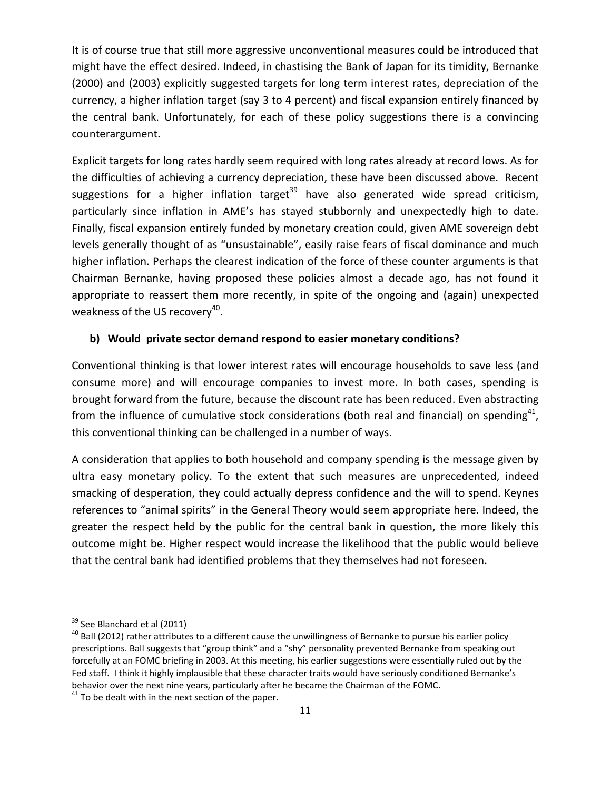It is of course true that still more aggressive unconventional measures could be introduced that might have the effect desired. Indeed, in chastising the Bank of Japan for its timidity, Bernanke (2000) and (2003) explicitly suggested targets for long term interest rates, depreciation of the currency, a higher inflation target (say 3 to 4 percent) and fiscal expansion entirely financed by the central bank. Unfortunately, for each of these policy suggestions there is a convincing counterargument.

Explicit targets for long rates hardly seem required with long rates already at record lows. As for the difficulties of achieving a currency depreciation, these have been discussed above. Recent suggestions for a higher inflation target<sup>39</sup> have also generated wide spread criticism, particularly since inflation in AME's has stayed stubbornly and unexpectedly high to date. Finally, fiscal expansion entirely funded by monetary creation could, given AME sovereign debt levels generally thought of as "unsustainable", easily raise fears of fiscal dominance and much higher inflation. Perhaps the clearest indication of the force of these counter arguments is that Chairman Bernanke, having proposed these policies almost a decade ago, has not found it appropriate to reassert them more recently, in spite of the ongoing and (again) unexpected weakness of the US recovery<sup>40</sup>.

#### **b) Would private sector demand respond to easier monetary conditions?**

Conventional thinking is that lower interest rates will encourage households to save less (and consume more) and will encourage companies to invest more. In both cases, spending is brought forward from the future, because the discount rate has been reduced. Even abstracting from the influence of cumulative stock considerations (both real and financial) on spending<sup>41</sup>, this conventional thinking can be challenged in a number of ways.

A consideration that applies to both household and company spending is the message given by ultra easy monetary policy. To the extent that such measures are unprecedented, indeed smacking of desperation, they could actually depress confidence and the will to spend. Keynes references to "animal spirits" in the General Theory would seem appropriate here. Indeed, the greater the respect held by the public for the central bank in question, the more likely this outcome might be. Higher respect would increase the likelihood that the public would believe that the central bank had identified problems that they themselves had not foreseen.

<sup>&</sup>lt;sup>39</sup> See Blanchard et al (2011)<br><sup>40</sup> Ball (2012) rather attributes to a different cause the unwillingness of Bernanke to pursue his earlier policy prescriptions. Ball suggests that "group think" and a "shy" personality prevented Bernanke from speaking out forcefully at an FOMC briefing in 2003. At this meeting, his earlier suggestions were essentially ruled out by the Fed staff. I think it highly implausible that these character traits would have seriously conditioned Bernanke's behavior over the next nine years, particularly after he became the Chairman of the FOMC.<br><sup>41</sup> To be dealt with in the next section of the paper.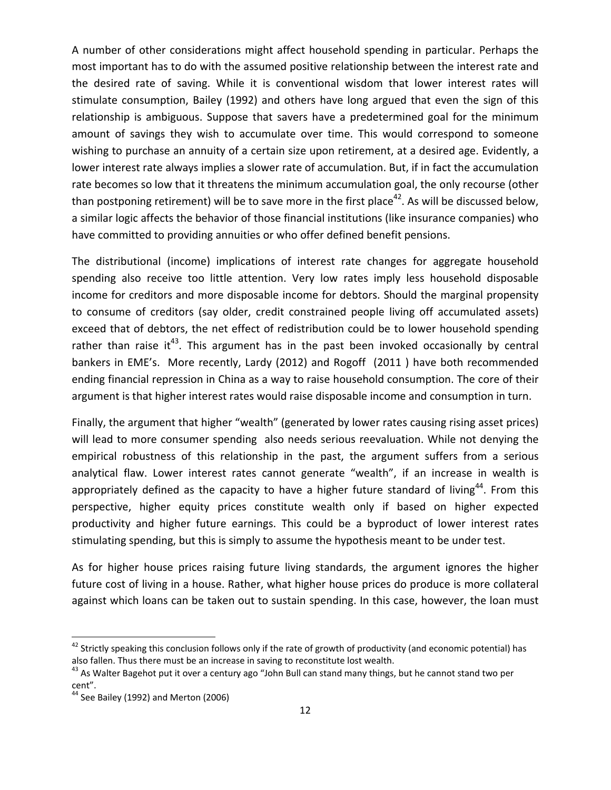A number of other considerations might affect household spending in particular. Perhaps the most important has to do with the assumed positive relationship between the interest rate and the desired rate of saving. While it is conventional wisdom that lower interest rates will stimulate consumption, Bailey (1992) and others have long argued that even the sign of this relationship is ambiguous. Suppose that savers have a predetermined goal for the minimum amount of savings they wish to accumulate over time. This would correspond to someone wishing to purchase an annuity of a certain size upon retirement, at a desired age. Evidently, a lower interest rate always implies a slower rate of accumulation. But, if in fact the accumulation rate becomes so low that it threatens the minimum accumulation goal, the only recourse (other than postponing retirement) will be to save more in the first place<sup>42</sup>. As will be discussed below, a similar logic affects the behavior of those financial institutions (like insurance companies) who have committed to providing annuities or who offer defined benefit pensions.

The distributional (income) implications of interest rate changes for aggregate household spending also receive too little attention. Very low rates imply less household disposable income for creditors and more disposable income for debtors. Should the marginal propensity to consume of creditors (say older, credit constrained people living off accumulated assets) exceed that of debtors, the net effect of redistribution could be to lower household spending rather than raise it<sup>43</sup>. This argument has in the past been invoked occasionally by central bankers in EME's. More recently, Lardy (2012) and Rogoff (2011 ) have both recommended ending financial repression in China as a way to raise household consumption. The core of their argument is that higher interest rates would raise disposable income and consumption in turn.

Finally, the argument that higher "wealth" (generated by lower rates causing rising asset prices) will lead to more consumer spending also needs serious reevaluation. While not denying the empirical robustness of this relationship in the past, the argument suffers from a serious analytical flaw. Lower interest rates cannot generate "wealth", if an increase in wealth is appropriately defined as the capacity to have a higher future standard of living<sup>44</sup>. From this perspective, higher equity prices constitute wealth only if based on higher expected productivity and higher future earnings. This could be a byproduct of lower interest rates stimulating spending, but this is simply to assume the hypothesis meant to be under test.

As for higher house prices raising future living standards, the argument ignores the higher future cost of living in a house. Rather, what higher house prices do produce is more collateral against which loans can be taken out to sustain spending. In this case, however, the loan must

 $42$  Strictly speaking this conclusion follows only if the rate of growth of productivity (and economic potential) has also fallen. Thus there must be an increase in saving to reconstitute lost wealth.<br><sup>43</sup> As Walter Bagehot put it over a century ago "John Bull can stand many things, but he cannot stand two per

cent".

 $44$  See Bailey (1992) and Merton (2006)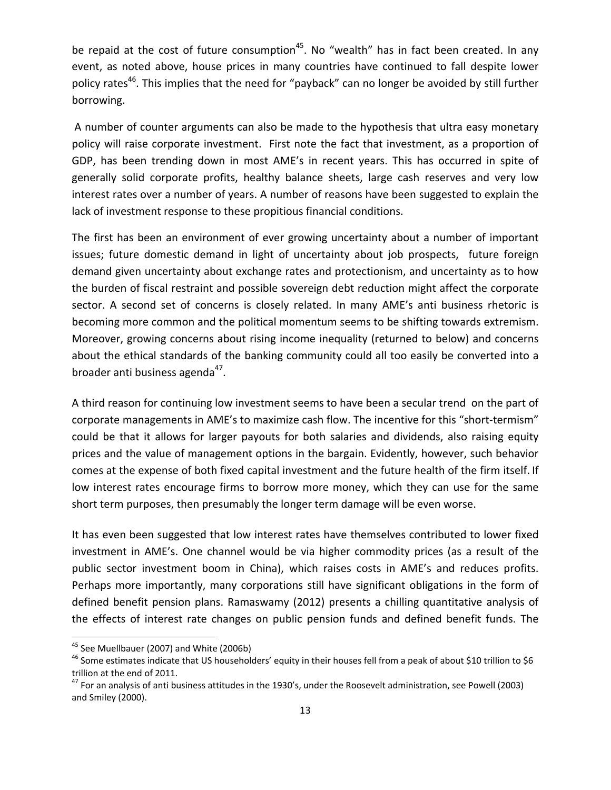be repaid at the cost of future consumption<sup>45</sup>. No "wealth" has in fact been created. In any event, as noted above, house prices in many countries have continued to fall despite lower policy rates<sup>46</sup>. This implies that the need for "payback" can no longer be avoided by still further borrowing.

A number of counter arguments can also be made to the hypothesis that ultra easy monetary policy will raise corporate investment. First note the fact that investment, as a proportion of GDP, has been trending down in most AME's in recent years. This has occurred in spite of generally solid corporate profits, healthy balance sheets, large cash reserves and very low interest rates over a number of years. A number of reasons have been suggested to explain the lack of investment response to these propitious financial conditions.

The first has been an environment of ever growing uncertainty about a number of important issues; future domestic demand in light of uncertainty about job prospects, future foreign demand given uncertainty about exchange rates and protectionism, and uncertainty as to how the burden of fiscal restraint and possible sovereign debt reduction might affect the corporate sector. A second set of concerns is closely related. In many AME's anti business rhetoric is becoming more common and the political momentum seems to be shifting towards extremism. Moreover, growing concerns about rising income inequality (returned to below) and concerns about the ethical standards of the banking community could all too easily be converted into a broader anti business agenda<sup>47</sup>.

A third reason for continuing low investment seems to have been a secular trend on the part of corporate managements in AME's to maximize cash flow. The incentive for this "short‐termism" could be that it allows for larger payouts for both salaries and dividends, also raising equity prices and the value of management options in the bargain. Evidently, however, such behavior comes at the expense of both fixed capital investment and the future health of the firm itself. If low interest rates encourage firms to borrow more money, which they can use for the same short term purposes, then presumably the longer term damage will be even worse.

It has even been suggested that low interest rates have themselves contributed to lower fixed investment in AME's. One channel would be via higher commodity prices (as a result of the public sector investment boom in China), which raises costs in AME's and reduces profits. Perhaps more importantly, many corporations still have significant obligations in the form of defined benefit pension plans. Ramaswamy (2012) presents a chilling quantitative analysis of the effects of interest rate changes on public pension funds and defined benefit funds. The

<sup>&</sup>lt;sup>45</sup> See Muellbauer (2007) and White (2006b)<br><sup>46</sup> Some estimates indicate that US householders' equity in their houses fell from a peak of about \$10 trillion to \$6 trillion at the end of 2011.<br><sup>47</sup> For an analysis of anti business attitudes in the 1930's, under the Roosevelt administration, see Powell (2003)

and Smiley (2000).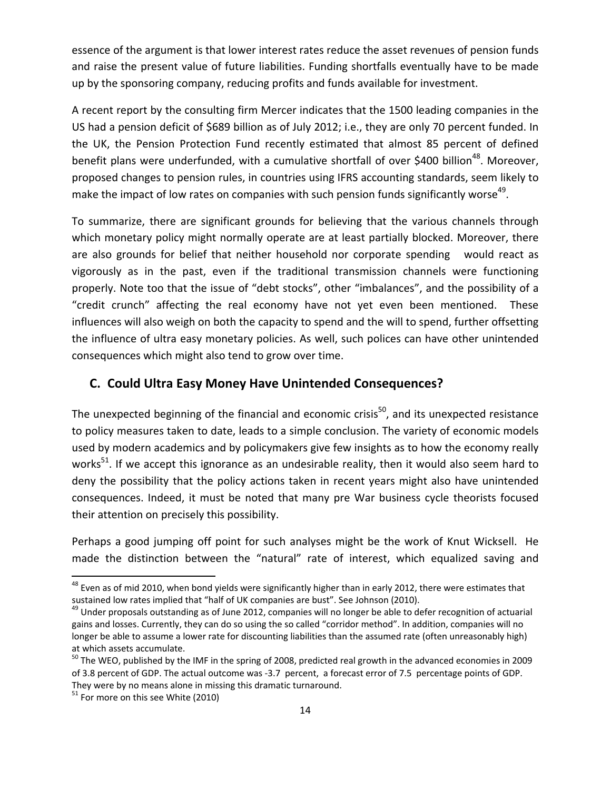essence of the argument is that lower interest rates reduce the asset revenues of pension funds and raise the present value of future liabilities. Funding shortfalls eventually have to be made up by the sponsoring company, reducing profits and funds available for investment.

A recent report by the consulting firm Mercer indicates that the 1500 leading companies in the US had a pension deficit of \$689 billion as of July 2012; i.e., they are only 70 percent funded. In the UK, the Pension Protection Fund recently estimated that almost 85 percent of defined benefit plans were underfunded, with a cumulative shortfall of over \$400 billion<sup>48</sup>. Moreover, proposed changes to pension rules, in countries using IFRS accounting standards, seem likely to make the impact of low rates on companies with such pension funds significantly worse<sup>49</sup>.

To summarize, there are significant grounds for believing that the various channels through which monetary policy might normally operate are at least partially blocked. Moreover, there are also grounds for belief that neither household nor corporate spending would react as vigorously as in the past, even if the traditional transmission channels were functioning properly. Note too that the issue of "debt stocks", other "imbalances", and the possibility of a "credit crunch" affecting the real economy have not yet even been mentioned. These influences will also weigh on both the capacity to spend and the will to spend, further offsetting the influence of ultra easy monetary policies. As well, such polices can have other unintended consequences which might also tend to grow over time.

# **C. Could Ultra Easy Money Have Unintended Consequences?**

The unexpected beginning of the financial and economic crisis<sup>50</sup>, and its unexpected resistance to policy measures taken to date, leads to a simple conclusion. The variety of economic models used by modern academics and by policymakers give few insights as to how the economy really works<sup>51</sup>. If we accept this ignorance as an undesirable reality, then it would also seem hard to deny the possibility that the policy actions taken in recent years might also have unintended consequences. Indeed, it must be noted that many pre War business cycle theorists focused their attention on precisely this possibility.

Perhaps a good jumping off point for such analyses might be the work of Knut Wicksell. He made the distinction between the "natural" rate of interest, which equalized saving and

<sup>&</sup>lt;sup>48</sup> Even as of mid 2010, when bond yields were significantly higher than in early 2012, there were estimates that sustained low rates implied that "half of UK companies are bust". See Johnson (2010).

 $49$  Under proposals outstanding as of June 2012, companies will no longer be able to defer recognition of actuarial gains and losses. Currently, they can do so using the so called "corridor method". In addition, companies will no longer be able to assume a lower rate for discounting liabilities than the assumed rate (often unreasonably high) at which assets accumulate.<br><sup>50</sup> The WEO, published by the IMF in the spring of 2008, predicted real growth in the advanced economies in 2009

of 3.8 percent of GDP. The actual outcome was ‐3.7 percent, a forecast error of 7.5 percentage points of GDP. They were by no means alone in missing this dramatic turnaround.<br><sup>51</sup> For more on this see White (2010)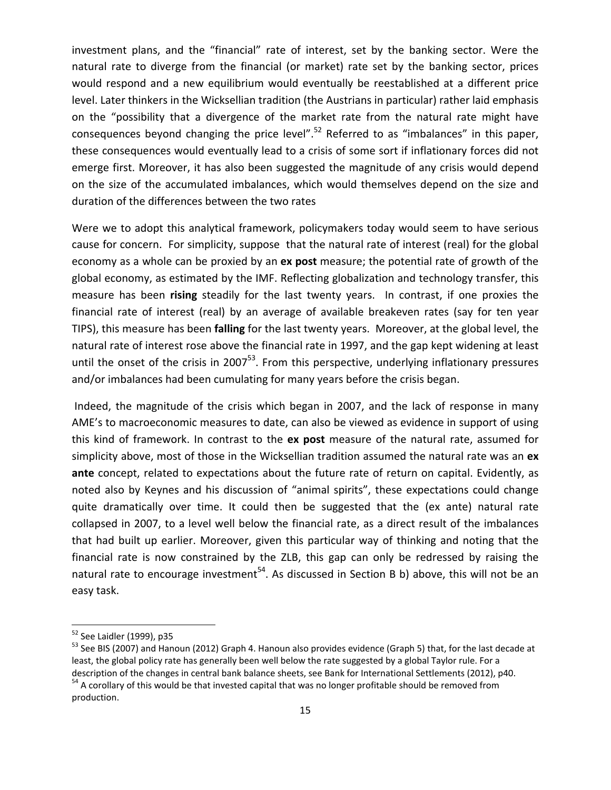investment plans, and the "financial" rate of interest, set by the banking sector. Were the natural rate to diverge from the financial (or market) rate set by the banking sector, prices would respond and a new equilibrium would eventually be reestablished at a different price level. Later thinkers in the Wicksellian tradition (the Austrians in particular) rather laid emphasis on the "possibility that a divergence of the market rate from the natural rate might have consequences beyond changing the price level".<sup>52</sup> Referred to as "imbalances" in this paper, these consequences would eventually lead to a crisis of some sort if inflationary forces did not emerge first. Moreover, it has also been suggested the magnitude of any crisis would depend on the size of the accumulated imbalances, which would themselves depend on the size and duration of the differences between the two rates

Were we to adopt this analytical framework, policymakers today would seem to have serious cause for concern. For simplicity, suppose that the natural rate of interest (real) for the global economy as a whole can be proxied by an **ex post** measure; the potential rate of growth of the global economy, as estimated by the IMF. Reflecting globalization and technology transfer, this measure has been **rising** steadily for the last twenty years. In contrast, if one proxies the financial rate of interest (real) by an average of available breakeven rates (say for ten year TIPS), this measure has been **falling** for the last twenty years. Moreover, at the global level, the natural rate of interest rose above the financial rate in 1997, and the gap kept widening at least until the onset of the crisis in 2007 $<sup>53</sup>$ . From this perspective, underlying inflationary pressures</sup> and/or imbalances had been cumulating for many years before the crisis began.

Indeed, the magnitude of the crisis which began in 2007, and the lack of response in many AME's to macroeconomic measures to date, can also be viewed as evidence in support of using this kind of framework. In contrast to the **ex post** measure of the natural rate, assumed for simplicity above, most of those in the Wicksellian tradition assumed the natural rate was an **ex ante** concept, related to expectations about the future rate of return on capital. Evidently, as noted also by Keynes and his discussion of "animal spirits", these expectations could change quite dramatically over time. It could then be suggested that the (ex ante) natural rate collapsed in 2007, to a level well below the financial rate, as a direct result of the imbalances that had built up earlier. Moreover, given this particular way of thinking and noting that the financial rate is now constrained by the ZLB, this gap can only be redressed by raising the natural rate to encourage investment<sup>54</sup>. As discussed in Section B b) above, this will not be an easy task.

 $52$  See Laidler (1999), p35<br> $53$  See BIS (2007) and Hanoun (2012) Graph 4. Hanoun also provides evidence (Graph 5) that, for the last decade at least, the global policy rate has generally been well below the rate suggested by a global Taylor rule. For a description of the changes in central bank balance sheets, see Bank for International Settlements (2012), p40.<br><sup>54</sup> A corollary of this would be that invested capital that was no longer profitable should be removed from production.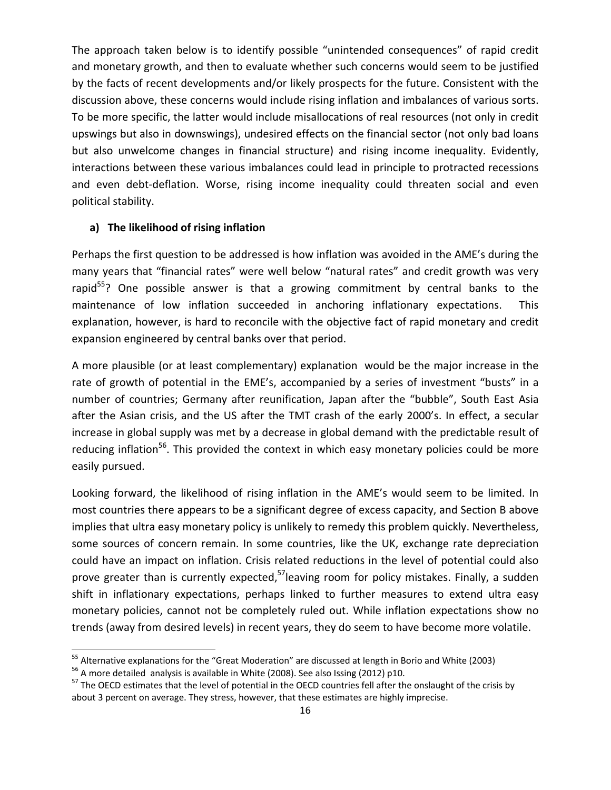The approach taken below is to identify possible "unintended consequences" of rapid credit and monetary growth, and then to evaluate whether such concerns would seem to be justified by the facts of recent developments and/or likely prospects for the future. Consistent with the discussion above, these concerns would include rising inflation and imbalances of various sorts. To be more specific, the latter would include misallocations of real resources (not only in credit upswings but also in downswings), undesired effects on the financial sector (not only bad loans but also unwelcome changes in financial structure) and rising income inequality. Evidently, interactions between these various imbalances could lead in principle to protracted recessions and even debt-deflation. Worse, rising income inequality could threaten social and even political stability.

#### **a) The likelihood of rising inflation**

Perhaps the first question to be addressed is how inflation was avoided in the AME's during the many years that "financial rates" were well below "natural rates" and credit growth was very rapid<sup>55</sup>? One possible answer is that a growing commitment by central banks to the maintenance of low inflation succeeded in anchoring inflationary expectations. This explanation, however, is hard to reconcile with the objective fact of rapid monetary and credit expansion engineered by central banks over that period.

A more plausible (or at least complementary) explanation would be the major increase in the rate of growth of potential in the EME's, accompanied by a series of investment "busts" in a number of countries; Germany after reunification, Japan after the "bubble", South East Asia after the Asian crisis, and the US after the TMT crash of the early 2000's. In effect, a secular increase in global supply was met by a decrease in global demand with the predictable result of reducing inflation<sup>56</sup>. This provided the context in which easy monetary policies could be more easily pursued.

Looking forward, the likelihood of rising inflation in the AME's would seem to be limited. In most countries there appears to be a significant degree of excess capacity, and Section B above implies that ultra easy monetary policy is unlikely to remedy this problem quickly. Nevertheless, some sources of concern remain. In some countries, like the UK, exchange rate depreciation could have an impact on inflation. Crisis related reductions in the level of potential could also prove greater than is currently expected,<sup>57</sup>leaving room for policy mistakes. Finally, a sudden shift in inflationary expectations, perhaps linked to further measures to extend ultra easy monetary policies, cannot not be completely ruled out. While inflation expectations show no trends (away from desired levels) in recent years, they do seem to have become more volatile.

<sup>&</sup>lt;sup>55</sup> Alternative explanations for the "Great Moderation" are discussed at length in Borio and White (2003)<br><sup>56</sup> A more detailed analysis is available in White (2008). See also Issing (2012) p10.<br><sup>57</sup> The OECD estimates th

about 3 percent on average. They stress, however, that these estimates are highly imprecise.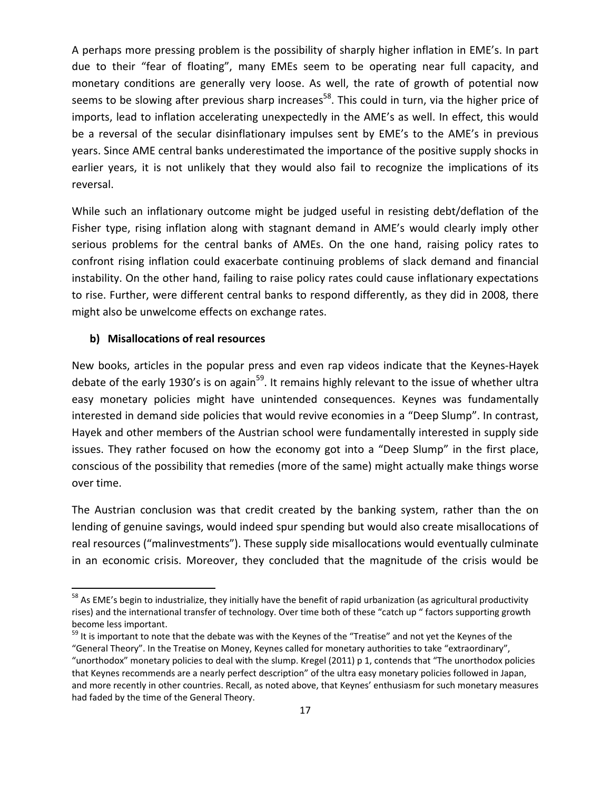A perhaps more pressing problem is the possibility of sharply higher inflation in EME's. In part due to their "fear of floating", many EMEs seem to be operating near full capacity, and monetary conditions are generally very loose. As well, the rate of growth of potential now seems to be slowing after previous sharp increases<sup>58</sup>. This could in turn, via the higher price of imports, lead to inflation accelerating unexpectedly in the AME's as well. In effect, this would be a reversal of the secular disinflationary impulses sent by EME's to the AME's in previous years. Since AME central banks underestimated the importance of the positive supply shocks in earlier years, it is not unlikely that they would also fail to recognize the implications of its reversal.

While such an inflationary outcome might be judged useful in resisting debt/deflation of the Fisher type, rising inflation along with stagnant demand in AME's would clearly imply other serious problems for the central banks of AMEs. On the one hand, raising policy rates to confront rising inflation could exacerbate continuing problems of slack demand and financial instability. On the other hand, failing to raise policy rates could cause inflationary expectations to rise. Further, were different central banks to respond differently, as they did in 2008, there might also be unwelcome effects on exchange rates.

#### **b) Misallocations of real resources**

New books, articles in the popular press and even rap videos indicate that the Keynes‐Hayek debate of the early 1930's is on again<sup>59</sup>. It remains highly relevant to the issue of whether ultra easy monetary policies might have unintended consequences. Keynes was fundamentally interested in demand side policies that would revive economies in a "Deep Slump". In contrast, Hayek and other members of the Austrian school were fundamentally interested in supply side issues. They rather focused on how the economy got into a "Deep Slump" in the first place, conscious of the possibility that remedies (more of the same) might actually make things worse over time.

The Austrian conclusion was that credit created by the banking system, rather than the on lending of genuine savings, would indeed spur spending but would also create misallocations of real resources ("malinvestments"). These supply side misallocations would eventually culminate in an economic crisis. Moreover, they concluded that the magnitude of the crisis would be

 $58$  As EME's begin to industrialize, they initially have the benefit of rapid urbanization (as agricultural productivity rises) and the international transfer of technology. Over time both of these "catch up " factors supporting growth become less important.<br><sup>59</sup> It is important to note that the debate was with the Keynes of the "Treatise" and not yet the Keynes of the

<sup>&</sup>quot;General Theory". In the Treatise on Money, Keynes called for monetary authorities to take "extraordinary", "unorthodox" monetary policies to deal with the slump. Kregel (2011) p 1, contends that "The unorthodox policies that Keynes recommends are a nearly perfect description" of the ultra easy monetary policies followed in Japan, and more recently in other countries. Recall, as noted above, that Keynes' enthusiasm for such monetary measures had faded by the time of the General Theory.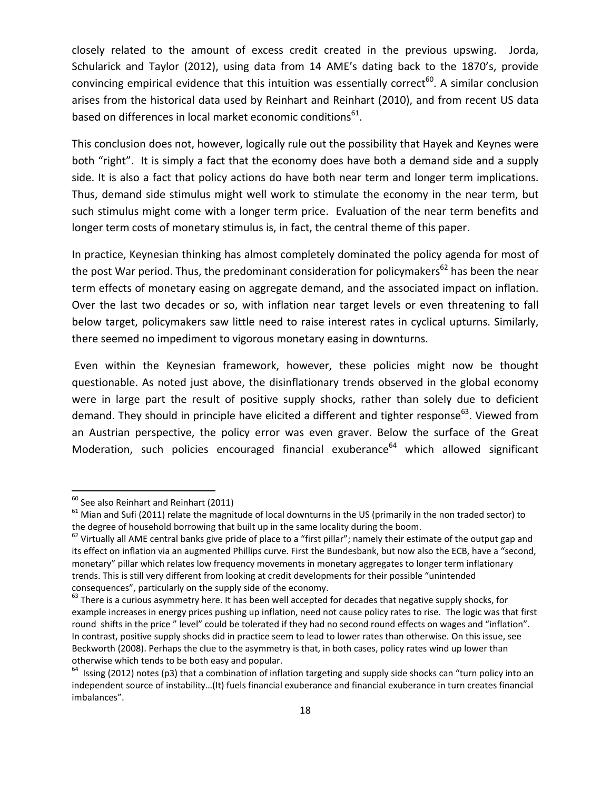closely related to the amount of excess credit created in the previous upswing. Jorda, Schularick and Taylor (2012), using data from 14 AME's dating back to the 1870's, provide convincing empirical evidence that this intuition was essentially correct<sup>60</sup>. A similar conclusion arises from the historical data used by Reinhart and Reinhart (2010), and from recent US data based on differences in local market economic conditions $<sup>61</sup>$ .</sup>

This conclusion does not, however, logically rule out the possibility that Hayek and Keynes were both "right". It is simply a fact that the economy does have both a demand side and a supply side. It is also a fact that policy actions do have both near term and longer term implications. Thus, demand side stimulus might well work to stimulate the economy in the near term, but such stimulus might come with a longer term price. Evaluation of the near term benefits and longer term costs of monetary stimulus is, in fact, the central theme of this paper.

In practice, Keynesian thinking has almost completely dominated the policy agenda for most of the post War period. Thus, the predominant consideration for policymakers<sup>62</sup> has been the near term effects of monetary easing on aggregate demand, and the associated impact on inflation. Over the last two decades or so, with inflation near target levels or even threatening to fall below target, policymakers saw little need to raise interest rates in cyclical upturns. Similarly, there seemed no impediment to vigorous monetary easing in downturns.

Even within the Keynesian framework, however, these policies might now be thought questionable. As noted just above, the disinflationary trends observed in the global economy were in large part the result of positive supply shocks, rather than solely due to deficient demand. They should in principle have elicited a different and tighter response<sup>63</sup>. Viewed from an Austrian perspective, the policy error was even graver. Below the surface of the Great Moderation, such policies encouraged financial exuberance<sup>64</sup> which allowed significant

<sup>&</sup>lt;sup>60</sup> See also Reinhart and Reinhart (2011)<br><sup>61</sup> Mian and Sufi (2011) relate the magnitude of local downturns in the US (primarily in the non traded sector) to the degree of household borrowing that built up in the same locality during the boom.<br><sup>62</sup> Virtually all AME central banks give pride of place to a "first pillar"; namely their estimate of the output gap and

its effect on inflation via an augmented Phillips curve. First the Bundesbank, but now also the ECB, have a "second, monetary" pillar which relates low frequency movements in monetary aggregates to longer term inflationary trends. This is still very different from looking at credit developments for their possible "unintended consequences", particularly on the supply side of the economy.<br>
<sup>63</sup> There is a curious asymmetry here. It has been well accepted for decades that negative supply shocks, for

example increases in energy prices pushing up inflation, need not cause policy rates to rise. The logic was that first round shifts in the price " level" could be tolerated if they had no second round effects on wages and "inflation". In contrast, positive supply shocks did in practice seem to lead to lower rates than otherwise. On this issue, see Beckworth (2008). Perhaps the clue to the asymmetry is that, in both cases, policy rates wind up lower than otherwise which tends to be both easy and popular.<br><sup>64</sup> Issing (2012) notes (p3) that a combination of inflation targeting and supply side shocks can "turn policy into an

independent source of instability…(It) fuels financial exuberance and financial exuberance in turn creates financial imbalances".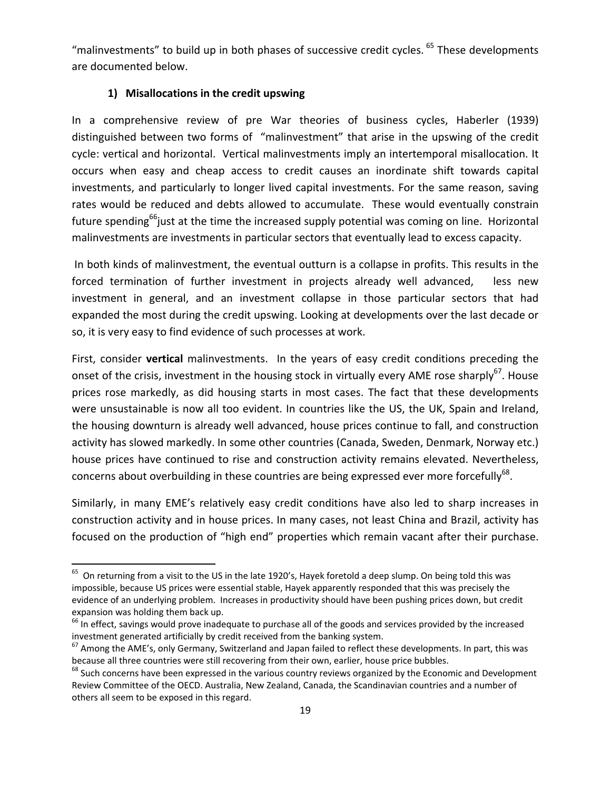"malinvestments" to build up in both phases of successive credit cycles. <sup>65</sup> These developments are documented below.

## **1) Misallocations in the credit upswing**

In a comprehensive review of pre War theories of business cycles, Haberler (1939) distinguished between two forms of "malinvestment" that arise in the upswing of the credit cycle: vertical and horizontal. Vertical malinvestments imply an intertemporal misallocation. It occurs when easy and cheap access to credit causes an inordinate shift towards capital investments, and particularly to longer lived capital investments. For the same reason, saving rates would be reduced and debts allowed to accumulate. These would eventually constrain future spending<sup>66</sup>just at the time the increased supply potential was coming on line. Horizontal malinvestments are investments in particular sectors that eventually lead to excess capacity.

In both kinds of malinvestment, the eventual outturn is a collapse in profits. This results in the forced termination of further investment in projects already well advanced, less new investment in general, and an investment collapse in those particular sectors that had expanded the most during the credit upswing. Looking at developments over the last decade or so, it is very easy to find evidence of such processes at work.

First, consider **vertical** malinvestments. In the years of easy credit conditions preceding the onset of the crisis, investment in the housing stock in virtually every AME rose sharply<sup>67</sup>. House prices rose markedly, as did housing starts in most cases. The fact that these developments were unsustainable is now all too evident. In countries like the US, the UK, Spain and Ireland, the housing downturn is already well advanced, house prices continue to fall, and construction activity has slowed markedly. In some other countries (Canada, Sweden, Denmark, Norway etc.) house prices have continued to rise and construction activity remains elevated. Nevertheless, concerns about overbuilding in these countries are being expressed ever more forcefully<sup>68</sup>.

Similarly, in many EME's relatively easy credit conditions have also led to sharp increases in construction activity and in house prices. In many cases, not least China and Brazil, activity has focused on the production of "high end" properties which remain vacant after their purchase.

 $65$  On returning from a visit to the US in the late 1920's, Hayek foretold a deep slump. On being told this was impossible, because US prices were essential stable, Hayek apparently responded that this was precisely the evidence of an underlying problem. Increases in productivity should have been pushing prices down, but credit

expansion was holding them back up.<br><sup>66</sup> In effect, savings would prove inadequate to purchase all of the goods and services provided by the increased<br>investment generated artificially by credit received from the banking s

 $67$  Among the AME's, only Germany, Switzerland and Japan failed to reflect these developments. In part, this was because all three countries were still recovering from their own, earlier, house price bubbles.<br>
 <sup>68</sup> Such concerns have been expressed in the various country reviews organized by the Economic and Development

Review Committee of the OECD. Australia, New Zealand, Canada, the Scandinavian countries and a number of others all seem to be exposed in this regard.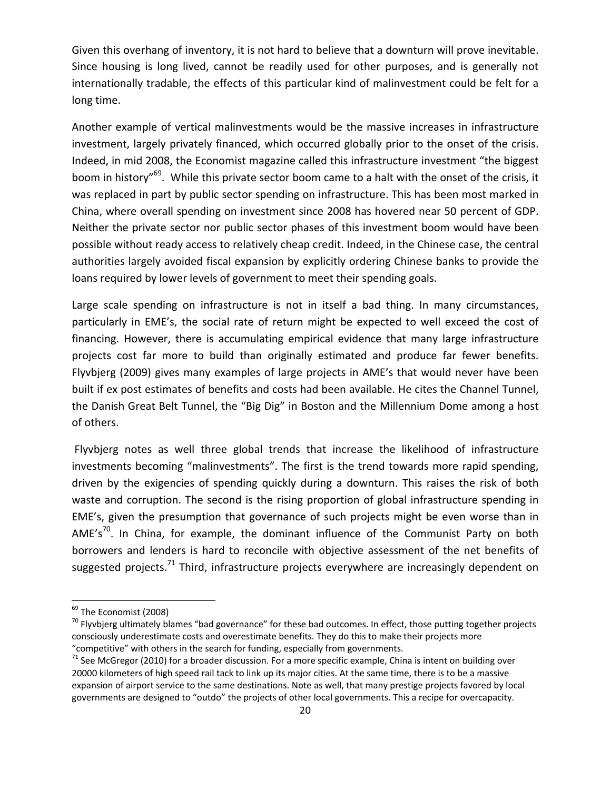Given this overhang of inventory, it is not hard to believe that a downturn will prove inevitable. Since housing is long lived, cannot be readily used for other purposes, and is generally not internationally tradable, the effects of this particular kind of malinvestment could be felt for a long time.

Another example of vertical malinvestments would be the massive increases in infrastructure investment, largely privately financed, which occurred globally prior to the onset of the crisis. Indeed, in mid 2008, the Economist magazine called this infrastructure investment "the biggest boom in history"69. While this private sector boom came to a halt with the onset of the crisis, it was replaced in part by public sector spending on infrastructure. This has been most marked in China, where overall spending on investment since 2008 has hovered near 50 percent of GDP. Neither the private sector nor public sector phases of this investment boom would have been possible without ready access to relatively cheap credit. Indeed, in the Chinese case, the central authorities largely avoided fiscal expansion by explicitly ordering Chinese banks to provide the loans required by lower levels of government to meet their spending goals.

Large scale spending on infrastructure is not in itself a bad thing. In many circumstances, particularly in EME's, the social rate of return might be expected to well exceed the cost of financing. However, there is accumulating empirical evidence that many large infrastructure projects cost far more to build than originally estimated and produce far fewer benefits. Flyvbjerg (2009) gives many examples of large projects in AME's that would never have been built if ex post estimates of benefits and costs had been available. He cites the Channel Tunnel, the Danish Great Belt Tunnel, the "Big Dig" in Boston and the Millennium Dome among a host of others.

Flyvbjerg notes as well three global trends that increase the likelihood of infrastructure investments becoming "malinvestments". The first is the trend towards more rapid spending, driven by the exigencies of spending quickly during a downturn. This raises the risk of both waste and corruption. The second is the rising proportion of global infrastructure spending in EME's, given the presumption that governance of such projects might be even worse than in AME's<sup>70</sup>. In China, for example, the dominant influence of the Communist Party on both borrowers and lenders is hard to reconcile with objective assessment of the net benefits of suggested projects.<sup>71</sup> Third, infrastructure projects everywhere are increasingly dependent on

<sup>&</sup>lt;sup>69</sup> The Economist (2008)<br><sup>70</sup> Flyvbjerg ultimately blames "bad governance" for these bad outcomes. In effect, those putting together projects consciously underestimate costs and overestimate benefits. They do this to make their projects more

<sup>&</sup>quot;competitive" with others in the search for funding, especially from governments.<br><sup>71</sup> See McGregor (2010) for a broader discussion. For a more specific example, China is intent on building over 20000 kilometers of high speed rail tack to link up its major cities. At the same time, there is to be a massive expansion of airport service to the same destinations. Note as well, that many prestige projects favored by local governments are designed to "outdo" the projects of other local governments. This a recipe for overcapacity.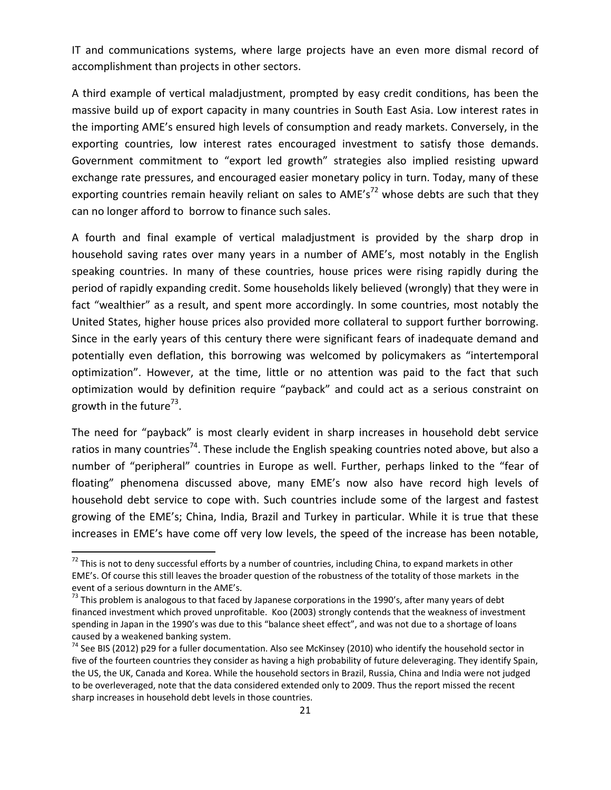IT and communications systems, where large projects have an even more dismal record of accomplishment than projects in other sectors.

A third example of vertical maladjustment, prompted by easy credit conditions, has been the massive build up of export capacity in many countries in South East Asia. Low interest rates in the importing AME's ensured high levels of consumption and ready markets. Conversely, in the exporting countries, low interest rates encouraged investment to satisfy those demands. Government commitment to "export led growth" strategies also implied resisting upward exchange rate pressures, and encouraged easier monetary policy in turn. Today, many of these exporting countries remain heavily reliant on sales to AME's<sup>72</sup> whose debts are such that they can no longer afford to borrow to finance such sales.

A fourth and final example of vertical maladjustment is provided by the sharp drop in household saving rates over many years in a number of AME's, most notably in the English speaking countries. In many of these countries, house prices were rising rapidly during the period of rapidly expanding credit. Some households likely believed (wrongly) that they were in fact "wealthier" as a result, and spent more accordingly. In some countries, most notably the United States, higher house prices also provided more collateral to support further borrowing. Since in the early years of this century there were significant fears of inadequate demand and potentially even deflation, this borrowing was welcomed by policymakers as "intertemporal optimization". However, at the time, little or no attention was paid to the fact that such optimization would by definition require "payback" and could act as a serious constraint on growth in the future<sup>73</sup>.

The need for "payback" is most clearly evident in sharp increases in household debt service ratios in many countries<sup>74</sup>. These include the English speaking countries noted above, but also a number of "peripheral" countries in Europe as well. Further, perhaps linked to the "fear of floating" phenomena discussed above, many EME's now also have record high levels of household debt service to cope with. Such countries include some of the largest and fastest growing of the EME's; China, India, Brazil and Turkey in particular. While it is true that these increases in EME's have come off very low levels, the speed of the increase has been notable,

 $72$  This is not to deny successful efforts by a number of countries, including China, to expand markets in other EME's. Of course this still leaves the broader question of the robustness of the totality of those markets in the

 $^{73}$  This problem is analogous to that faced by Japanese corporations in the 1990's, after many years of debt financed investment which proved unprofitable. Koo (2003) strongly contends that the weakness of investment spending in Japan in the 1990's was due to this "balance sheet effect", and was not due to a shortage of loans caused by a weakened banking system.<br><sup>74</sup> See BIS (2012) p29 for a fuller documentation. Also see McKinsey (2010) who identify the household sector in

five of the fourteen countries they consider as having a high probability of future deleveraging. They identify Spain, the US, the UK, Canada and Korea. While the household sectors in Brazil, Russia, China and India were not judged to be overleveraged, note that the data considered extended only to 2009. Thus the report missed the recent sharp increases in household debt levels in those countries.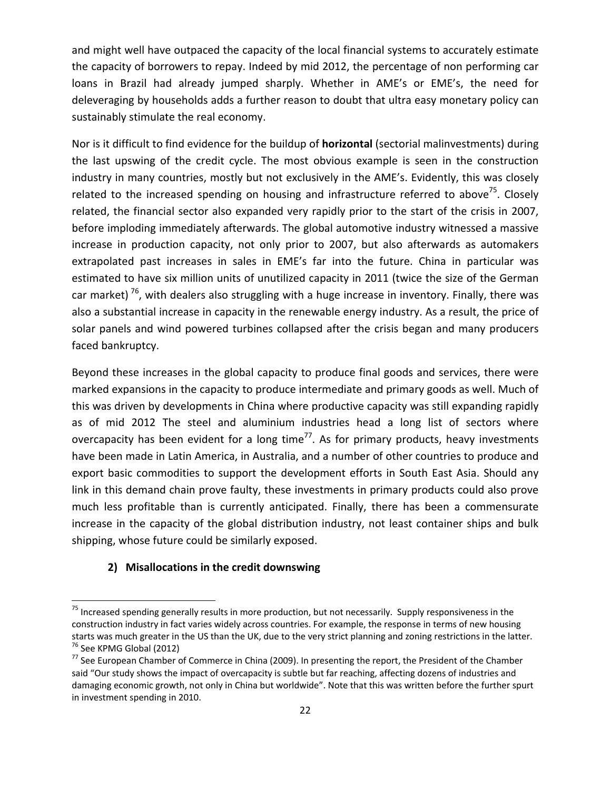and might well have outpaced the capacity of the local financial systems to accurately estimate the capacity of borrowers to repay. Indeed by mid 2012, the percentage of non performing car loans in Brazil had already jumped sharply. Whether in AME's or EME's, the need for deleveraging by households adds a further reason to doubt that ultra easy monetary policy can sustainably stimulate the real economy.

Nor is it difficult to find evidence for the buildup of **horizontal** (sectorial malinvestments) during the last upswing of the credit cycle. The most obvious example is seen in the construction industry in many countries, mostly but not exclusively in the AME's. Evidently, this was closely related to the increased spending on housing and infrastructure referred to above<sup>75</sup>. Closely related, the financial sector also expanded very rapidly prior to the start of the crisis in 2007, before imploding immediately afterwards. The global automotive industry witnessed a massive increase in production capacity, not only prior to 2007, but also afterwards as automakers extrapolated past increases in sales in EME's far into the future. China in particular was estimated to have six million units of unutilized capacity in 2011 (twice the size of the German car market)<sup>76</sup>, with dealers also struggling with a huge increase in inventory. Finally, there was also a substantial increase in capacity in the renewable energy industry. As a result, the price of solar panels and wind powered turbines collapsed after the crisis began and many producers faced bankruptcy.

Beyond these increases in the global capacity to produce final goods and services, there were marked expansions in the capacity to produce intermediate and primary goods as well. Much of this was driven by developments in China where productive capacity was still expanding rapidly as of mid 2012 The steel and aluminium industries head a long list of sectors where overcapacity has been evident for a long time<sup>77</sup>. As for primary products, heavy investments have been made in Latin America, in Australia, and a number of other countries to produce and export basic commodities to support the development efforts in South East Asia. Should any link in this demand chain prove faulty, these investments in primary products could also prove much less profitable than is currently anticipated. Finally, there has been a commensurate increase in the capacity of the global distribution industry, not least container ships and bulk shipping, whose future could be similarly exposed.

#### **2) Misallocations in the credit downswing**

<sup>&</sup>lt;sup>75</sup> Increased spending generally results in more production, but not necessarily. Supply responsiveness in the construction industry in fact varies widely across countries. For example, the response in terms of new housing starts was much greater in the US than the UK, due to the very strict planning and zoning restrictions in the latter.<br><sup>76</sup> See KPMG Global (2012)<br><sup>77</sup> See European Chamber of Commerce in China (2009). In presenting the re

said "Our study shows the impact of overcapacity is subtle but far reaching, affecting dozens of industries and damaging economic growth, not only in China but worldwide". Note that this was written before the further spurt in investment spending in 2010.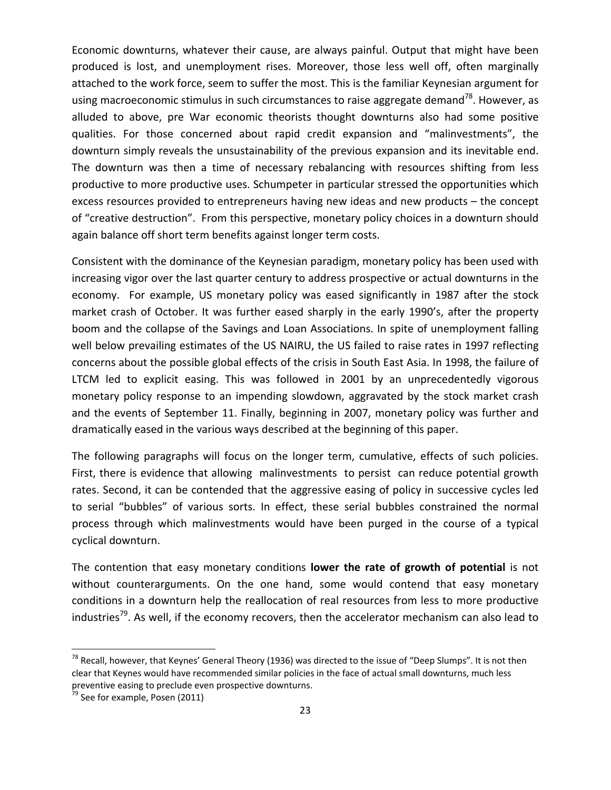Economic downturns, whatever their cause, are always painful. Output that might have been produced is lost, and unemployment rises. Moreover, those less well off, often marginally attached to the work force, seem to suffer the most. This is the familiar Keynesian argument for using macroeconomic stimulus in such circumstances to raise aggregate demand<sup>78</sup>. However, as alluded to above, pre War economic theorists thought downturns also had some positive qualities. For those concerned about rapid credit expansion and "malinvestments", the downturn simply reveals the unsustainability of the previous expansion and its inevitable end. The downturn was then a time of necessary rebalancing with resources shifting from less productive to more productive uses. Schumpeter in particular stressed the opportunities which excess resources provided to entrepreneurs having new ideas and new products – the concept of "creative destruction". From this perspective, monetary policy choices in a downturn should again balance off short term benefits against longer term costs.

Consistent with the dominance of the Keynesian paradigm, monetary policy has been used with increasing vigor over the last quarter century to address prospective or actual downturns in the economy. For example, US monetary policy was eased significantly in 1987 after the stock market crash of October. It was further eased sharply in the early 1990's, after the property boom and the collapse of the Savings and Loan Associations. In spite of unemployment falling well below prevailing estimates of the US NAIRU, the US failed to raise rates in 1997 reflecting concerns about the possible global effects of the crisis in South East Asia. In 1998, the failure of LTCM led to explicit easing. This was followed in 2001 by an unprecedentedly vigorous monetary policy response to an impending slowdown, aggravated by the stock market crash and the events of September 11. Finally, beginning in 2007, monetary policy was further and dramatically eased in the various ways described at the beginning of this paper.

The following paragraphs will focus on the longer term, cumulative, effects of such policies. First, there is evidence that allowing malinvestments to persist can reduce potential growth rates. Second, it can be contended that the aggressive easing of policy in successive cycles led to serial "bubbles" of various sorts. In effect, these serial bubbles constrained the normal process through which malinvestments would have been purged in the course of a typical cyclical downturn.

The contention that easy monetary conditions **lower the rate of growth of potential** is not without counterarguments. On the one hand, some would contend that easy monetary conditions in a downturn help the reallocation of real resources from less to more productive industries<sup>79</sup>. As well, if the economy recovers, then the accelerator mechanism can also lead to

 $^{78}$  Recall, however, that Keynes' General Theory (1936) was directed to the issue of "Deep Slumps". It is not then clear that Keynes would have recommended similar policies in the face of actual small downturns, much less preventive easing to preclude even prospective downturns.<br> $^{79}$  See for example, Posen (2011)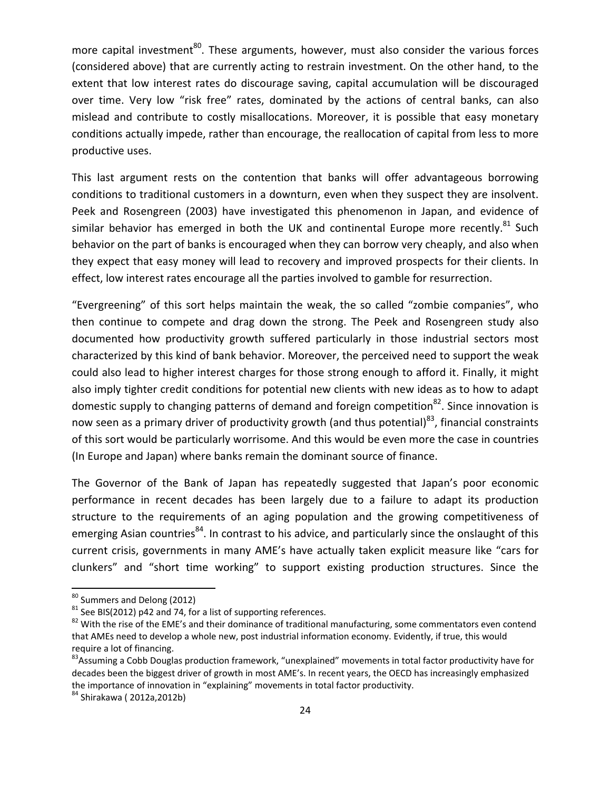more capital investment<sup>80</sup>. These arguments, however, must also consider the various forces (considered above) that are currently acting to restrain investment. On the other hand, to the extent that low interest rates do discourage saving, capital accumulation will be discouraged over time. Very low "risk free" rates, dominated by the actions of central banks, can also mislead and contribute to costly misallocations. Moreover, it is possible that easy monetary conditions actually impede, rather than encourage, the reallocation of capital from less to more productive uses.

This last argument rests on the contention that banks will offer advantageous borrowing conditions to traditional customers in a downturn, even when they suspect they are insolvent. Peek and Rosengreen (2003) have investigated this phenomenon in Japan, and evidence of similar behavior has emerged in both the UK and continental Europe more recently.<sup>81</sup> Such behavior on the part of banks is encouraged when they can borrow very cheaply, and also when they expect that easy money will lead to recovery and improved prospects for their clients. In effect, low interest rates encourage all the parties involved to gamble for resurrection.

"Evergreening" of this sort helps maintain the weak, the so called "zombie companies", who then continue to compete and drag down the strong. The Peek and Rosengreen study also documented how productivity growth suffered particularly in those industrial sectors most characterized by this kind of bank behavior. Moreover, the perceived need to support the weak could also lead to higher interest charges for those strong enough to afford it. Finally, it might also imply tighter credit conditions for potential new clients with new ideas as to how to adapt domestic supply to changing patterns of demand and foreign competition $^{82}$ . Since innovation is now seen as a primary driver of productivity growth (and thus potential)<sup>83</sup>, financial constraints of this sort would be particularly worrisome. And this would be even more the case in countries (In Europe and Japan) where banks remain the dominant source of finance.

The Governor of the Bank of Japan has repeatedly suggested that Japan's poor economic performance in recent decades has been largely due to a failure to adapt its production structure to the requirements of an aging population and the growing competitiveness of emerging Asian countries<sup>84</sup>. In contrast to his advice, and particularly since the onslaught of this current crisis, governments in many AME's have actually taken explicit measure like "cars for clunkers" and "short time working" to support existing production structures. Since the

<sup>&</sup>lt;sup>80</sup> Summers and Delong (2012)<br><sup>81</sup> See BIS(2012) p42 and 74, for a list of supporting references.<br><sup>82</sup> With the rise of the EME's and their dominance of traditional manufacturing, some commentators even contend that AMEs need to develop a whole new, post industrial information economy. Evidently, if true, this would require a lot of financing.<br><sup>83</sup>Assuming a Cobb Douglas production framework, "unexplained" movements in total factor productivity have for

decades been the biggest driver of growth in most AME's. In recent years, the OECD has increasingly emphasized the importance of innovation in "explaining" movements in total factor productivity.<br><sup>84</sup> Shirakawa ( 2012a,2012b)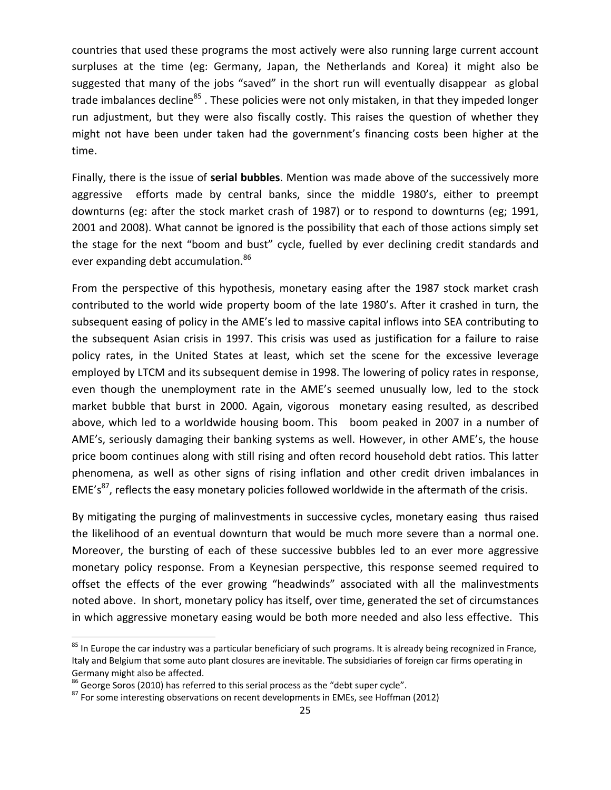countries that used these programs the most actively were also running large current account surpluses at the time (eg: Germany, Japan, the Netherlands and Korea) it might also be suggested that many of the jobs "saved" in the short run will eventually disappear as global trade imbalances decline<sup>85</sup>. These policies were not only mistaken, in that they impeded longer run adjustment, but they were also fiscally costly. This raises the question of whether they might not have been under taken had the government's financing costs been higher at the time.

Finally, there is the issue of **serial bubbles**. Mention was made above of the successively more aggressive efforts made by central banks, since the middle 1980's, either to preempt downturns (eg: after the stock market crash of 1987) or to respond to downturns (eg; 1991, 2001 and 2008). What cannot be ignored is the possibility that each of those actions simply set the stage for the next "boom and bust" cycle, fuelled by ever declining credit standards and ever expanding debt accumulation.<sup>86</sup>

From the perspective of this hypothesis, monetary easing after the 1987 stock market crash contributed to the world wide property boom of the late 1980's. After it crashed in turn, the subsequent easing of policy in the AME's led to massive capital inflows into SEA contributing to the subsequent Asian crisis in 1997. This crisis was used as justification for a failure to raise policy rates, in the United States at least, which set the scene for the excessive leverage employed by LTCM and its subsequent demise in 1998. The lowering of policy rates in response, even though the unemployment rate in the AME's seemed unusually low, led to the stock market bubble that burst in 2000. Again, vigorous monetary easing resulted, as described above, which led to a worldwide housing boom. This boom peaked in 2007 in a number of AME's, seriously damaging their banking systems as well. However, in other AME's, the house price boom continues along with still rising and often record household debt ratios. This latter phenomena, as well as other signs of rising inflation and other credit driven imbalances in EME's<sup>87</sup>, reflects the easy monetary policies followed worldwide in the aftermath of the crisis.

By mitigating the purging of malinvestments in successive cycles, monetary easing thus raised the likelihood of an eventual downturn that would be much more severe than a normal one. Moreover, the bursting of each of these successive bubbles led to an ever more aggressive monetary policy response. From a Keynesian perspective, this response seemed required to offset the effects of the ever growing "headwinds" associated with all the malinvestments noted above. In short, monetary policy has itself, over time, generated the set of circumstances in which aggressive monetary easing would be both more needed and also less effective. This

<sup>&</sup>lt;sup>85</sup> In Europe the car industry was a particular beneficiary of such programs. It is already being recognized in France, Italy and Belgium that some auto plant closures are inevitable. The subsidiaries of foreign car firms operating in Germany might also be affected.<br><sup>86</sup> George Soros (2010) has referred to this serial process as the "debt super cycle".<br><sup>87</sup> For some interesting observations on recent developments in EMEs, see Hoffman (2012)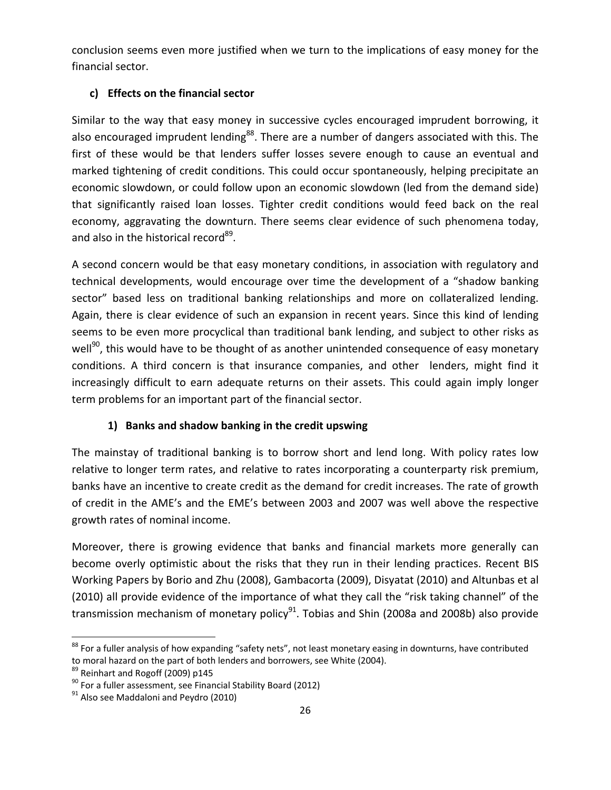conclusion seems even more justified when we turn to the implications of easy money for the financial sector.

# **c) Effects on the financial sector**

Similar to the way that easy money in successive cycles encouraged imprudent borrowing, it also encouraged imprudent lending<sup>88</sup>. There are a number of dangers associated with this. The first of these would be that lenders suffer losses severe enough to cause an eventual and marked tightening of credit conditions. This could occur spontaneously, helping precipitate an economic slowdown, or could follow upon an economic slowdown (led from the demand side) that significantly raised loan losses. Tighter credit conditions would feed back on the real economy, aggravating the downturn. There seems clear evidence of such phenomena today, and also in the historical record<sup>89</sup>.

A second concern would be that easy monetary conditions, in association with regulatory and technical developments, would encourage over time the development of a "shadow banking sector" based less on traditional banking relationships and more on collateralized lending. Again, there is clear evidence of such an expansion in recent years. Since this kind of lending seems to be even more procyclical than traditional bank lending, and subject to other risks as well<sup>90</sup>, this would have to be thought of as another unintended consequence of easy monetary conditions. A third concern is that insurance companies, and other lenders, might find it increasingly difficult to earn adequate returns on their assets. This could again imply longer term problems for an important part of the financial sector.

# **1) Banks and shadow banking in the credit upswing**

The mainstay of traditional banking is to borrow short and lend long. With policy rates low relative to longer term rates, and relative to rates incorporating a counterparty risk premium, banks have an incentive to create credit as the demand for credit increases. The rate of growth of credit in the AME's and the EME's between 2003 and 2007 was well above the respective growth rates of nominal income.

Moreover, there is growing evidence that banks and financial markets more generally can become overly optimistic about the risks that they run in their lending practices. Recent BIS Working Papers by Borio and Zhu (2008), Gambacorta (2009), Disyatat (2010) and Altunbas et al (2010) all provide evidence of the importance of what they call the "risk taking channel" of the transmission mechanism of monetary policy $91$ . Tobias and Shin (2008a and 2008b) also provide

<sup>&</sup>lt;sup>88</sup> For a fuller analysis of how expanding "safety nets", not least monetary easing in downturns, have contributed to moral hazard on the part of both lenders and borrowers, see White (2004).<br><sup>89</sup> Reinhart and Rogoff (2009) p145<br><sup>90</sup> For a fuller assessment, see Financial Stability Board (2012)<br><sup>91</sup> Also see Maddaloni and Peydro (2010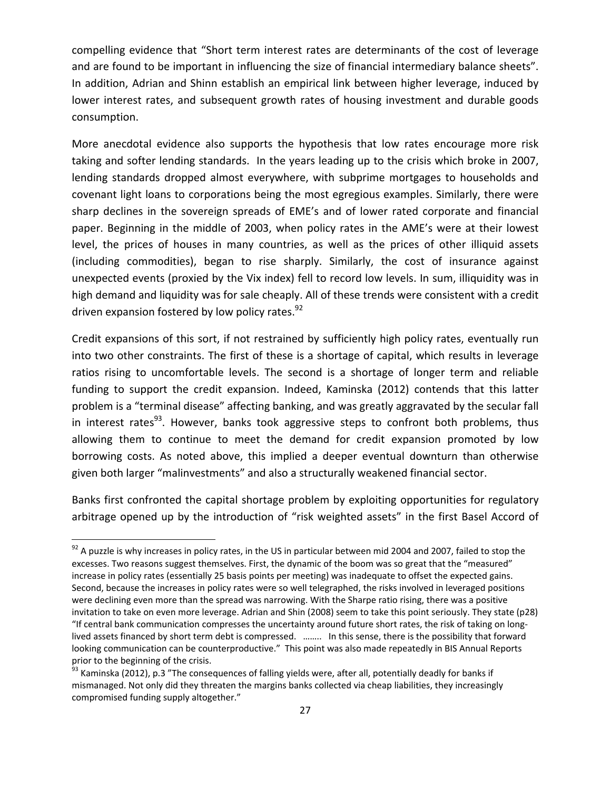compelling evidence that "Short term interest rates are determinants of the cost of leverage and are found to be important in influencing the size of financial intermediary balance sheets". In addition, Adrian and Shinn establish an empirical link between higher leverage, induced by lower interest rates, and subsequent growth rates of housing investment and durable goods consumption.

More anecdotal evidence also supports the hypothesis that low rates encourage more risk taking and softer lending standards. In the years leading up to the crisis which broke in 2007, lending standards dropped almost everywhere, with subprime mortgages to households and covenant light loans to corporations being the most egregious examples. Similarly, there were sharp declines in the sovereign spreads of EME's and of lower rated corporate and financial paper. Beginning in the middle of 2003, when policy rates in the AME's were at their lowest level, the prices of houses in many countries, as well as the prices of other illiquid assets (including commodities), began to rise sharply. Similarly, the cost of insurance against unexpected events (proxied by the Vix index) fell to record low levels. In sum, illiquidity was in high demand and liquidity was for sale cheaply. All of these trends were consistent with a credit driven expansion fostered by low policy rates.<sup>92</sup>

Credit expansions of this sort, if not restrained by sufficiently high policy rates, eventually run into two other constraints. The first of these is a shortage of capital, which results in leverage ratios rising to uncomfortable levels. The second is a shortage of longer term and reliable funding to support the credit expansion. Indeed, Kaminska (2012) contends that this latter problem is a "terminal disease" affecting banking, and was greatly aggravated by the secular fall in interest rates<sup>93</sup>. However, banks took aggressive steps to confront both problems, thus allowing them to continue to meet the demand for credit expansion promoted by low borrowing costs. As noted above, this implied a deeper eventual downturn than otherwise given both larger "malinvestments" and also a structurally weakened financial sector.

Banks first confronted the capital shortage problem by exploiting opportunities for regulatory arbitrage opened up by the introduction of "risk weighted assets" in the first Basel Accord of

 $92$  A puzzle is why increases in policy rates, in the US in particular between mid 2004 and 2007, failed to stop the excesses. Two reasons suggest themselves. First, the dynamic of the boom was so great that the "measured" increase in policy rates (essentially 25 basis points per meeting) was inadequate to offset the expected gains. Second, because the increases in policy rates were so well telegraphed, the risks involved in leveraged positions were declining even more than the spread was narrowing. With the Sharpe ratio rising, there was a positive invitation to take on even more leverage. Adrian and Shin (2008) seem to take this point seriously. They state (p28) "If central bank communication compresses the uncertainty around future short rates, the risk of taking on long‐ lived assets financed by short term debt is compressed. …….. In this sense, there is the possibility that forward looking communication can be counterproductive." This point was also made repeatedly in BIS Annual Reports prior to the beginning of the crisis.

 $93$  Kaminska (2012), p.3 "The consequences of falling yields were, after all, potentially deadly for banks if mismanaged. Not only did they threaten the margins banks collected via cheap liabilities, they increasingly compromised funding supply altogether."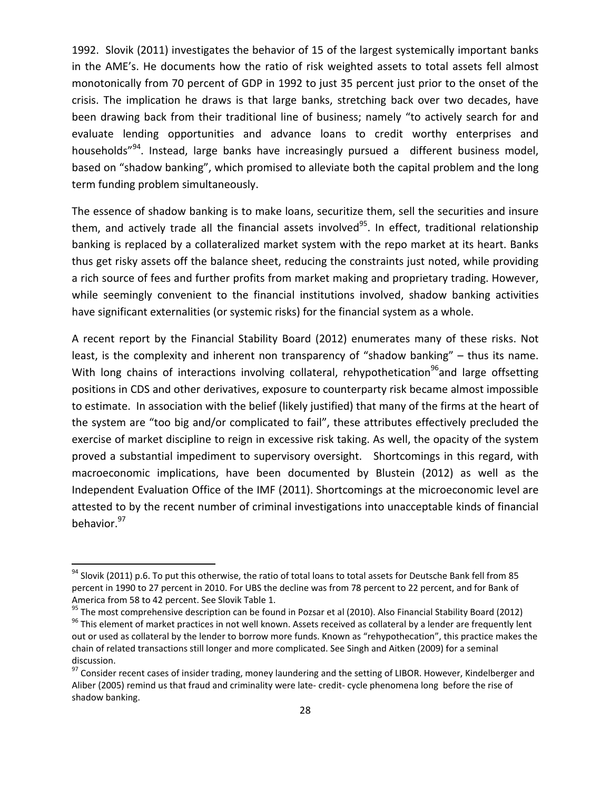1992. Slovik (2011) investigates the behavior of 15 of the largest systemically important banks in the AME's. He documents how the ratio of risk weighted assets to total assets fell almost monotonically from 70 percent of GDP in 1992 to just 35 percent just prior to the onset of the crisis. The implication he draws is that large banks, stretching back over two decades, have been drawing back from their traditional line of business; namely "to actively search for and evaluate lending opportunities and advance loans to credit worthy enterprises and households"<sup>94</sup>. Instead, large banks have increasingly pursued a different business model, based on "shadow banking", which promised to alleviate both the capital problem and the long term funding problem simultaneously.

The essence of shadow banking is to make loans, securitize them, sell the securities and insure them, and actively trade all the financial assets involved<sup>95</sup>. In effect, traditional relationship banking is replaced by a collateralized market system with the repo market at its heart. Banks thus get risky assets off the balance sheet, reducing the constraints just noted, while providing a rich source of fees and further profits from market making and proprietary trading. However, while seemingly convenient to the financial institutions involved, shadow banking activities have significant externalities (or systemic risks) for the financial system as a whole.

A recent report by the Financial Stability Board (2012) enumerates many of these risks. Not least, is the complexity and inherent non transparency of "shadow banking" – thus its name. With long chains of interactions involving collateral, rehypothetication<sup>96</sup>and large offsetting positions in CDS and other derivatives, exposure to counterparty risk became almost impossible to estimate. In association with the belief (likely justified) that many of the firms at the heart of the system are "too big and/or complicated to fail", these attributes effectively precluded the exercise of market discipline to reign in excessive risk taking. As well, the opacity of the system proved a substantial impediment to supervisory oversight. Shortcomings in this regard, with macroeconomic implications, have been documented by Blustein (2012) as well as the Independent Evaluation Office of the IMF (2011). Shortcomings at the microeconomic level are attested to by the recent number of criminal investigations into unacceptable kinds of financial behavior.<sup>97</sup>

 $^{94}$  Slovik (2011) p.6. To put this otherwise, the ratio of total loans to total assets for Deutsche Bank fell from 85 percent in 1990 to 27 percent in 2010. For UBS the decline was from 78 percent to 22 percent, and for Bank of America from 58 to 42 percent. See Slovik Table 1.<br><sup>95</sup> The most comprehensive description can be found in Pozsar et al (2010). Also Financial Stability Board (2012)<br><sup>96</sup> This element of market practices in not well known.

out or used as collateral by the lender to borrow more funds. Known as "rehypothecation", this practice makes the chain of related transactions still longer and more complicated. See Singh and Aitken (2009) for a seminal discussion.<br><sup>97</sup> Consider recent cases of insider trading, money laundering and the setting of LIBOR. However, Kindelberger and

Aliber (2005) remind us that fraud and criminality were late‐ credit‐ cycle phenomena long before the rise of shadow banking.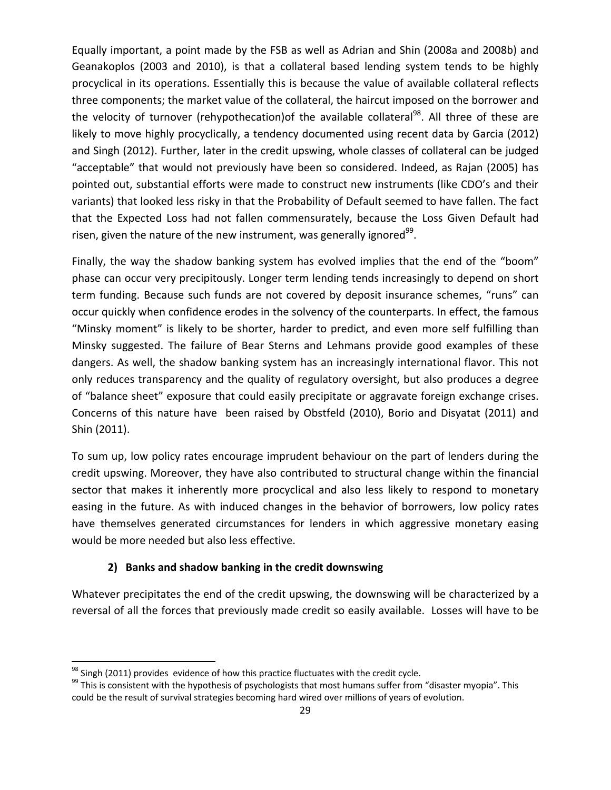Equally important, a point made by the FSB as well as Adrian and Shin (2008a and 2008b) and Geanakoplos (2003 and 2010), is that a collateral based lending system tends to be highly procyclical in its operations. Essentially this is because the value of available collateral reflects three components; the market value of the collateral, the haircut imposed on the borrower and the velocity of turnover (rehypothecation) of the available collateral<sup>98</sup>. All three of these are likely to move highly procyclically, a tendency documented using recent data by Garcia (2012) and Singh (2012). Further, later in the credit upswing, whole classes of collateral can be judged "acceptable" that would not previously have been so considered. Indeed, as Rajan (2005) has pointed out, substantial efforts were made to construct new instruments (like CDO's and their variants) that looked less risky in that the Probability of Default seemed to have fallen. The fact that the Expected Loss had not fallen commensurately, because the Loss Given Default had risen, given the nature of the new instrument, was generally ignored $99$ .

Finally, the way the shadow banking system has evolved implies that the end of the "boom" phase can occur very precipitously. Longer term lending tends increasingly to depend on short term funding. Because such funds are not covered by deposit insurance schemes, "runs" can occur quickly when confidence erodes in the solvency of the counterparts. In effect, the famous "Minsky moment" is likely to be shorter, harder to predict, and even more self fulfilling than Minsky suggested. The failure of Bear Sterns and Lehmans provide good examples of these dangers. As well, the shadow banking system has an increasingly international flavor. This not only reduces transparency and the quality of regulatory oversight, but also produces a degree of "balance sheet" exposure that could easily precipitate or aggravate foreign exchange crises. Concerns of this nature have been raised by Obstfeld (2010), Borio and Disyatat (2011) and Shin (2011).

To sum up, low policy rates encourage imprudent behaviour on the part of lenders during the credit upswing. Moreover, they have also contributed to structural change within the financial sector that makes it inherently more procyclical and also less likely to respond to monetary easing in the future. As with induced changes in the behavior of borrowers, low policy rates have themselves generated circumstances for lenders in which aggressive monetary easing would be more needed but also less effective.

## **2) Banks and shadow banking in the credit downswing**

Whatever precipitates the end of the credit upswing, the downswing will be characterized by a reversal of all the forces that previously made credit so easily available. Losses will have to be

<sup>&</sup>lt;sup>98</sup> Singh (2011) provides evidence of how this practice fluctuates with the credit cycle.<br><sup>99</sup> This is consistent with the hypothesis of psychologists that most humans suffer from "disaster myopia". This could be the result of survival strategies becoming hard wired over millions of years of evolution.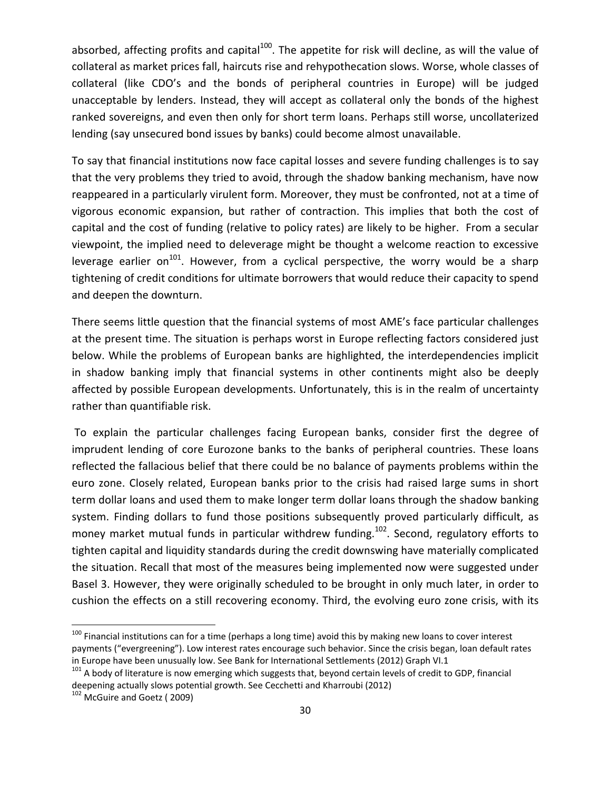absorbed, affecting profits and capital<sup>100</sup>. The appetite for risk will decline, as will the value of collateral as market prices fall, haircuts rise and rehypothecation slows. Worse, whole classes of collateral (like CDO's and the bonds of peripheral countries in Europe) will be judged unacceptable by lenders. Instead, they will accept as collateral only the bonds of the highest ranked sovereigns, and even then only for short term loans. Perhaps still worse, uncollaterized lending (say unsecured bond issues by banks) could become almost unavailable.

To say that financial institutions now face capital losses and severe funding challenges is to say that the very problems they tried to avoid, through the shadow banking mechanism, have now reappeared in a particularly virulent form. Moreover, they must be confronted, not at a time of vigorous economic expansion, but rather of contraction. This implies that both the cost of capital and the cost of funding (relative to policy rates) are likely to be higher. From a secular viewpoint, the implied need to deleverage might be thought a welcome reaction to excessive leverage earlier on<sup>101</sup>. However, from a cyclical perspective, the worry would be a sharp tightening of credit conditions for ultimate borrowers that would reduce their capacity to spend and deepen the downturn.

There seems little question that the financial systems of most AME's face particular challenges at the present time. The situation is perhaps worst in Europe reflecting factors considered just below. While the problems of European banks are highlighted, the interdependencies implicit in shadow banking imply that financial systems in other continents might also be deeply affected by possible European developments. Unfortunately, this is in the realm of uncertainty rather than quantifiable risk.

To explain the particular challenges facing European banks, consider first the degree of imprudent lending of core Eurozone banks to the banks of peripheral countries. These loans reflected the fallacious belief that there could be no balance of payments problems within the euro zone. Closely related, European banks prior to the crisis had raised large sums in short term dollar loans and used them to make longer term dollar loans through the shadow banking system. Finding dollars to fund those positions subsequently proved particularly difficult, as money market mutual funds in particular withdrew funding.<sup>102</sup>. Second, regulatory efforts to tighten capital and liquidity standards during the credit downswing have materially complicated the situation. Recall that most of the measures being implemented now were suggested under Basel 3. However, they were originally scheduled to be brought in only much later, in order to cushion the effects on a still recovering economy. Third, the evolving euro zone crisis, with its

<sup>&</sup>lt;sup>100</sup> Financial institutions can for a time (perhaps a long time) avoid this by making new loans to cover interest payments ("evergreening"). Low interest rates encourage such behavior. Since the crisis began, loan default rates in Europe have been unusually low. See Bank for International Settlements (2012) Graph VI.1<br><sup>101</sup> A body of literature is now emerging which suggests that, beyond certain levels of credit to GDP, financial

deepening actually slows potential growth. See Cecchetti and Kharroubi (2012)<br><sup>102</sup> McGuire and Goetz (2009)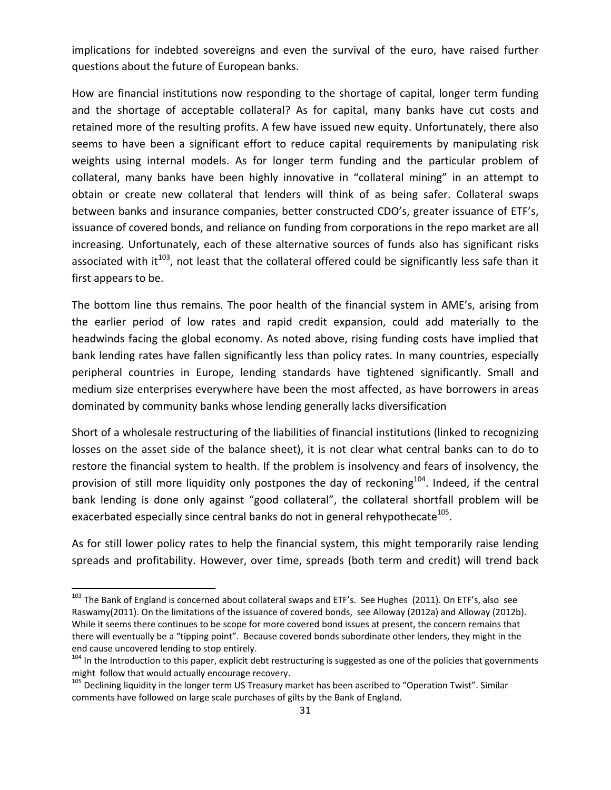implications for indebted sovereigns and even the survival of the euro, have raised further questions about the future of European banks.

How are financial institutions now responding to the shortage of capital, longer term funding and the shortage of acceptable collateral? As for capital, many banks have cut costs and retained more of the resulting profits. A few have issued new equity. Unfortunately, there also seems to have been a significant effort to reduce capital requirements by manipulating risk weights using internal models. As for longer term funding and the particular problem of collateral, many banks have been highly innovative in "collateral mining" in an attempt to obtain or create new collateral that lenders will think of as being safer. Collateral swaps between banks and insurance companies, better constructed CDO's, greater issuance of ETF's, issuance of covered bonds, and reliance on funding from corporations in the repo market are all increasing. Unfortunately, each of these alternative sources of funds also has significant risks associated with it<sup>103</sup>, not least that the collateral offered could be significantly less safe than it first appears to be.

The bottom line thus remains. The poor health of the financial system in AME's, arising from the earlier period of low rates and rapid credit expansion, could add materially to the headwinds facing the global economy. As noted above, rising funding costs have implied that bank lending rates have fallen significantly less than policy rates. In many countries, especially peripheral countries in Europe, lending standards have tightened significantly. Small and medium size enterprises everywhere have been the most affected, as have borrowers in areas dominated by community banks whose lending generally lacks diversification

Short of a wholesale restructuring of the liabilities of financial institutions (linked to recognizing losses on the asset side of the balance sheet), it is not clear what central banks can to do to restore the financial system to health. If the problem is insolvency and fears of insolvency, the provision of still more liquidity only postpones the day of reckoning<sup>104</sup>. Indeed, if the central bank lending is done only against "good collateral", the collateral shortfall problem will be exacerbated especially since central banks do not in general rehypothecate<sup>105</sup>.

As for still lower policy rates to help the financial system, this might temporarily raise lending spreads and profitability. However, over time, spreads (both term and credit) will trend back

<sup>&</sup>lt;sup>103</sup> The Bank of England is concerned about collateral swaps and ETF's. See Hughes (2011). On ETF's, also see Raswamy(2011). On the limitations of the issuance of covered bonds, see Alloway (2012a) and Alloway (2012b). While it seems there continues to be scope for more covered bond issues at present, the concern remains that there will eventually be a "tipping point". Because covered bonds subordinate other lenders, they might in the end cause uncovered lending to stop entirely.<br><sup>104</sup> In the Introduction to this paper, explicit debt restructuring is suggested as one of the policies that governments

might follow that would actually encourage recovery.<br><sup>105</sup> Declining liquidity in the longer term US Treasury market has been ascribed to "Operation Twist". Similar

comments have followed on large scale purchases of gilts by the Bank of England.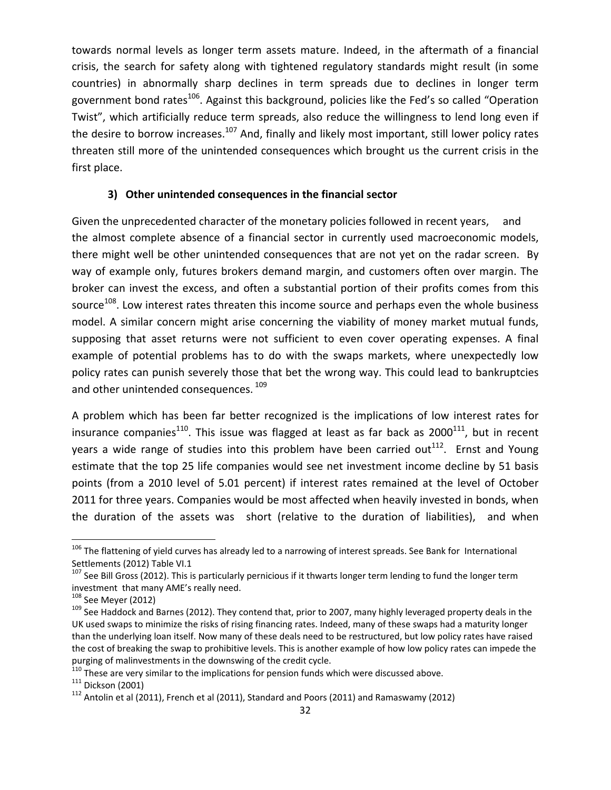towards normal levels as longer term assets mature. Indeed, in the aftermath of a financial crisis, the search for safety along with tightened regulatory standards might result (in some countries) in abnormally sharp declines in term spreads due to declines in longer term government bond rates<sup>106</sup>. Against this background, policies like the Fed's so called "Operation Twist", which artificially reduce term spreads, also reduce the willingness to lend long even if the desire to borrow increases.<sup>107</sup> And, finally and likely most important, still lower policy rates threaten still more of the unintended consequences which brought us the current crisis in the first place.

#### **3) Other unintended consequences in the financial sector**

Given the unprecedented character of the monetary policies followed in recent years, and the almost complete absence of a financial sector in currently used macroeconomic models, there might well be other unintended consequences that are not yet on the radar screen. By way of example only, futures brokers demand margin, and customers often over margin. The broker can invest the excess, and often a substantial portion of their profits comes from this source<sup>108</sup>. Low interest rates threaten this income source and perhaps even the whole business model. A similar concern might arise concerning the viability of money market mutual funds, supposing that asset returns were not sufficient to even cover operating expenses. A final example of potential problems has to do with the swaps markets, where unexpectedly low policy rates can punish severely those that bet the wrong way. This could lead to bankruptcies and other unintended consequences.<sup>109</sup>

A problem which has been far better recognized is the implications of low interest rates for insurance companies<sup>110</sup>. This issue was flagged at least as far back as  $2000^{111}$ , but in recent years a wide range of studies into this problem have been carried out<sup>112</sup>. Ernst and Young estimate that the top 25 life companies would see net investment income decline by 51 basis points (from a 2010 level of 5.01 percent) if interest rates remained at the level of October 2011 for three years. Companies would be most affected when heavily invested in bonds, when the duration of the assets was short (relative to the duration of liabilities), and when

 $106$  The flattening of yield curves has already led to a narrowing of interest spreads. See Bank for International

Settlements (2012) Table VI.1<br><sup>107</sup> See Bill Gross (2012). This is particularly pernicious if it thwarts longer term lending to fund the longer term<br>investment that many AME's really need.

<sup>&</sup>lt;sup>108</sup> See Meyer (2012)<br><sup>109</sup> See Haddock and Barnes (2012). They contend that, prior to 2007, many highly leveraged property deals in the UK used swaps to minimize the risks of rising financing rates. Indeed, many of these swaps had a maturity longer than the underlying loan itself. Now many of these deals need to be restructured, but low policy rates have raised the cost of breaking the swap to prohibitive levels. This is another example of how low policy rates can impede the purging of malinvestments in the downswing of the credit cycle.<br><sup>110</sup> These are very similar to the implications for pension funds which were discussed above.<br><sup>111</sup> Dickson (2001)<br><sup>112</sup> Antolin et al (2011), French et al (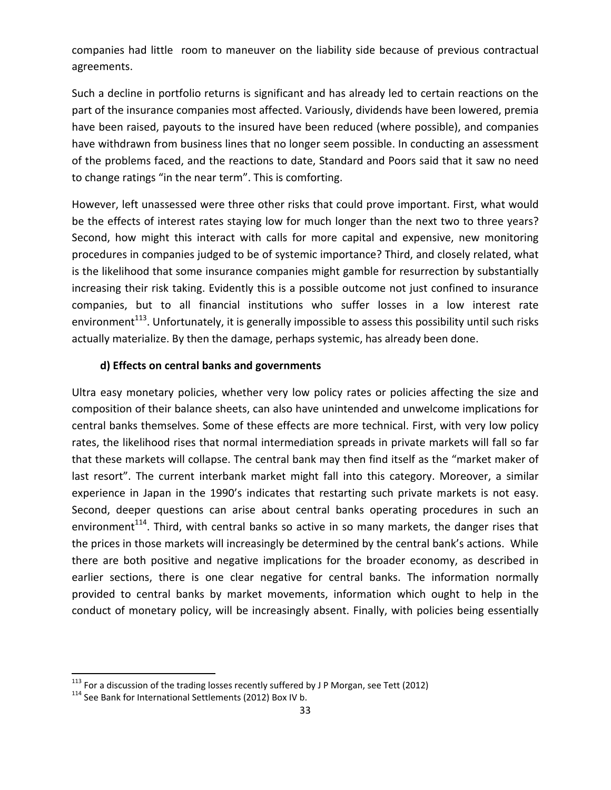companies had little room to maneuver on the liability side because of previous contractual agreements.

Such a decline in portfolio returns is significant and has already led to certain reactions on the part of the insurance companies most affected. Variously, dividends have been lowered, premia have been raised, payouts to the insured have been reduced (where possible), and companies have withdrawn from business lines that no longer seem possible. In conducting an assessment of the problems faced, and the reactions to date, Standard and Poors said that it saw no need to change ratings "in the near term". This is comforting.

However, left unassessed were three other risks that could prove important. First, what would be the effects of interest rates staying low for much longer than the next two to three years? Second, how might this interact with calls for more capital and expensive, new monitoring procedures in companies judged to be of systemic importance? Third, and closely related, what is the likelihood that some insurance companies might gamble for resurrection by substantially increasing their risk taking. Evidently this is a possible outcome not just confined to insurance companies, but to all financial institutions who suffer losses in a low interest rate environment<sup>113</sup>. Unfortunately, it is generally impossible to assess this possibility until such risks actually materialize. By then the damage, perhaps systemic, has already been done.

#### **d) Effects on central banks and governments**

Ultra easy monetary policies, whether very low policy rates or policies affecting the size and composition of their balance sheets, can also have unintended and unwelcome implications for central banks themselves. Some of these effects are more technical. First, with very low policy rates, the likelihood rises that normal intermediation spreads in private markets will fall so far that these markets will collapse. The central bank may then find itself as the "market maker of last resort". The current interbank market might fall into this category. Moreover, a similar experience in Japan in the 1990's indicates that restarting such private markets is not easy. Second, deeper questions can arise about central banks operating procedures in such an environment<sup>114</sup>. Third, with central banks so active in so many markets, the danger rises that the prices in those markets will increasingly be determined by the central bank's actions. While there are both positive and negative implications for the broader economy, as described in earlier sections, there is one clear negative for central banks. The information normally provided to central banks by market movements, information which ought to help in the conduct of monetary policy, will be increasingly absent. Finally, with policies being essentially

<sup>&</sup>lt;sup>113</sup> For a discussion of the trading losses recently suffered by J P Morgan, see Tett (2012)  $114$  See Bank for International Settlements (2012) Box IV b.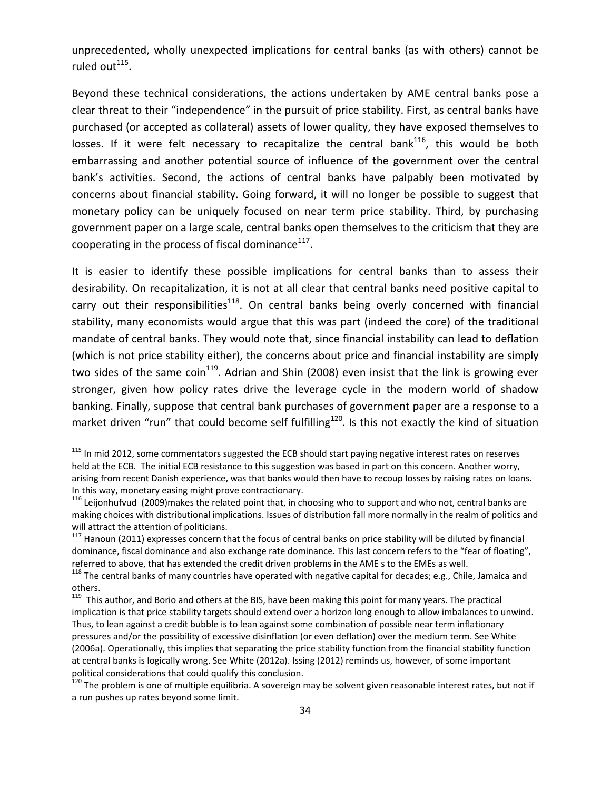unprecedented, wholly unexpected implications for central banks (as with others) cannot be ruled out $^{115}$ .

Beyond these technical considerations, the actions undertaken by AME central banks pose a clear threat to their "independence" in the pursuit of price stability. First, as central banks have purchased (or accepted as collateral) assets of lower quality, they have exposed themselves to losses. If it were felt necessary to recapitalize the central bank<sup>116</sup>, this would be both embarrassing and another potential source of influence of the government over the central bank's activities. Second, the actions of central banks have palpably been motivated by concerns about financial stability. Going forward, it will no longer be possible to suggest that monetary policy can be uniquely focused on near term price stability. Third, by purchasing government paper on a large scale, central banks open themselves to the criticism that they are cooperating in the process of fiscal dominance $117$ .

It is easier to identify these possible implications for central banks than to assess their desirability. On recapitalization, it is not at all clear that central banks need positive capital to carry out their responsibilities<sup>118</sup>. On central banks being overly concerned with financial stability, many economists would argue that this was part (indeed the core) of the traditional mandate of central banks. They would note that, since financial instability can lead to deflation (which is not price stability either), the concerns about price and financial instability are simply two sides of the same coin<sup>119</sup>. Adrian and Shin (2008) even insist that the link is growing ever stronger, given how policy rates drive the leverage cycle in the modern world of shadow banking. Finally, suppose that central bank purchases of government paper are a response to a market driven "run" that could become self fulfilling<sup>120</sup>. Is this not exactly the kind of situation

<sup>&</sup>lt;sup>115</sup> In mid 2012, some commentators suggested the ECB should start paying negative interest rates on reserves held at the ECB. The initial ECB resistance to this suggestion was based in part on this concern. Another worry, arising from recent Danish experience, was that banks would then have to recoup losses by raising rates on loans. In this way, monetary easing might prove contractionary.<br><sup>116</sup> Leijonhufvud (2009)makes the related point that, in choosing who to support and who not, central banks are

making choices with distributional implications. Issues of distribution fall more normally in the realm of politics and will attract the attention of politicians.<br><sup>117</sup> Hanoun (2011) expresses concern that the focus of central banks on price stability will be diluted by financial

dominance, fiscal dominance and also exchange rate dominance. This last concern refers to the "fear of floating", referred to above, that has extended the credit driven problems in the AME s to the EMEs as well.<br>
<sup>118</sup> The central banks of many countries have operated with negative capital for decades; e.g., Chile, Jamaica and

others.

<sup>&</sup>lt;sup>119</sup> This author, and Borio and others at the BIS, have been making this point for many years. The practical implication is that price stability targets should extend over a horizon long enough to allow imbalances to unwind. Thus, to lean against a credit bubble is to lean against some combination of possible near term inflationary pressures and/or the possibility of excessive disinflation (or even deflation) over the medium term. See White (2006a). Operationally, this implies that separating the price stability function from the financial stability function at central banks is logically wrong. See White (2012a). Issing (2012) reminds us, however, of some important political considerations that could qualify this conclusion.<br><sup>120</sup> The problem is one of multiple equilibria. A sovereign may be solvent given reasonable interest rates, but not if

a run pushes up rates beyond some limit.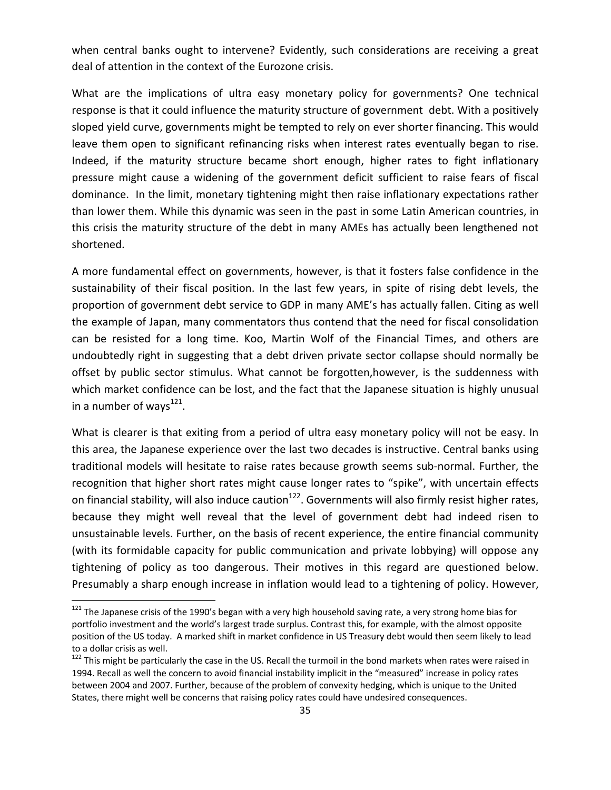when central banks ought to intervene? Evidently, such considerations are receiving a great deal of attention in the context of the Eurozone crisis.

What are the implications of ultra easy monetary policy for governments? One technical response is that it could influence the maturity structure of government debt. With a positively sloped yield curve, governments might be tempted to rely on ever shorter financing. This would leave them open to significant refinancing risks when interest rates eventually began to rise. Indeed, if the maturity structure became short enough, higher rates to fight inflationary pressure might cause a widening of the government deficit sufficient to raise fears of fiscal dominance. In the limit, monetary tightening might then raise inflationary expectations rather than lower them. While this dynamic was seen in the past in some Latin American countries, in this crisis the maturity structure of the debt in many AMEs has actually been lengthened not shortened.

A more fundamental effect on governments, however, is that it fosters false confidence in the sustainability of their fiscal position. In the last few years, in spite of rising debt levels, the proportion of government debt service to GDP in many AME's has actually fallen. Citing as well the example of Japan, many commentators thus contend that the need for fiscal consolidation can be resisted for a long time. Koo, Martin Wolf of the Financial Times, and others are undoubtedly right in suggesting that a debt driven private sector collapse should normally be offset by public sector stimulus. What cannot be forgotten,however, is the suddenness with which market confidence can be lost, and the fact that the Japanese situation is highly unusual in a number of ways $^{121}$ .

What is clearer is that exiting from a period of ultra easy monetary policy will not be easy. In this area, the Japanese experience over the last two decades is instructive. Central banks using traditional models will hesitate to raise rates because growth seems sub‐normal. Further, the recognition that higher short rates might cause longer rates to "spike", with uncertain effects on financial stability, will also induce caution<sup>122</sup>. Governments will also firmly resist higher rates, because they might well reveal that the level of government debt had indeed risen to unsustainable levels. Further, on the basis of recent experience, the entire financial community (with its formidable capacity for public communication and private lobbying) will oppose any tightening of policy as too dangerous. Their motives in this regard are questioned below. Presumably a sharp enough increase in inflation would lead to a tightening of policy. However,

 $121$  The Japanese crisis of the 1990's began with a very high household saving rate, a very strong home bias for portfolio investment and the world's largest trade surplus. Contrast this, for example, with the almost opposite position of the US today. A marked shift in market confidence in US Treasury debt would then seem likely to lead to a dollar crisis as well.<br><sup>122</sup> This might be particularly the case in the US. Recall the turmoil in the bond markets when rates were raised in

<sup>1994.</sup> Recall as well the concern to avoid financial instability implicit in the "measured" increase in policy rates between 2004 and 2007. Further, because of the problem of convexity hedging, which is unique to the United States, there might well be concerns that raising policy rates could have undesired consequences.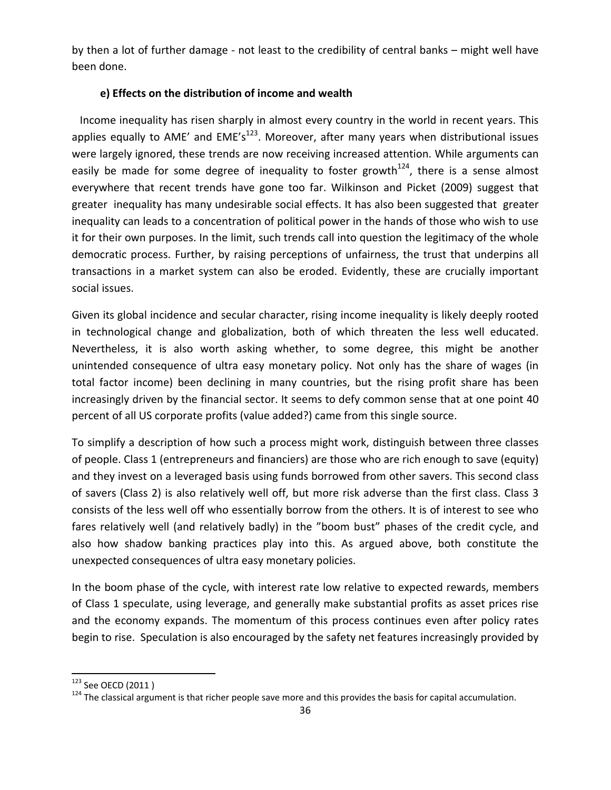by then a lot of further damage ‐ not least to the credibility of central banks – might well have been done.

# **e) Effects on the distribution of income and wealth**

Income inequality has risen sharply in almost every country in the world in recent years. This applies equally to AME' and  $EME's^{123}$ . Moreover, after many years when distributional issues were largely ignored, these trends are now receiving increased attention. While arguments can easily be made for some degree of inequality to foster growth<sup>124</sup>, there is a sense almost everywhere that recent trends have gone too far. Wilkinson and Picket (2009) suggest that greater inequality has many undesirable social effects. It has also been suggested that greater inequality can leads to a concentration of political power in the hands of those who wish to use it for their own purposes. In the limit, such trends call into question the legitimacy of the whole democratic process. Further, by raising perceptions of unfairness, the trust that underpins all transactions in a market system can also be eroded. Evidently, these are crucially important social issues.

Given its global incidence and secular character, rising income inequality is likely deeply rooted in technological change and globalization, both of which threaten the less well educated. Nevertheless, it is also worth asking whether, to some degree, this might be another unintended consequence of ultra easy monetary policy. Not only has the share of wages (in total factor income) been declining in many countries, but the rising profit share has been increasingly driven by the financial sector. It seems to defy common sense that at one point 40 percent of all US corporate profits (value added?) came from this single source.

To simplify a description of how such a process might work, distinguish between three classes of people. Class 1 (entrepreneurs and financiers) are those who are rich enough to save (equity) and they invest on a leveraged basis using funds borrowed from other savers. This second class of savers (Class 2) is also relatively well off, but more risk adverse than the first class. Class 3 consists of the less well off who essentially borrow from the others. It is of interest to see who fares relatively well (and relatively badly) in the "boom bust" phases of the credit cycle, and also how shadow banking practices play into this. As argued above, both constitute the unexpected consequences of ultra easy monetary policies.

In the boom phase of the cycle, with interest rate low relative to expected rewards, members of Class 1 speculate, using leverage, and generally make substantial profits as asset prices rise and the economy expands. The momentum of this process continues even after policy rates begin to rise. Speculation is also encouraged by the safety net features increasingly provided by

<sup>&</sup>lt;sup>123</sup> See OECD (2011 )<br><sup>124</sup> The classical argument is that richer people save more and this provides the basis for capital accumulation.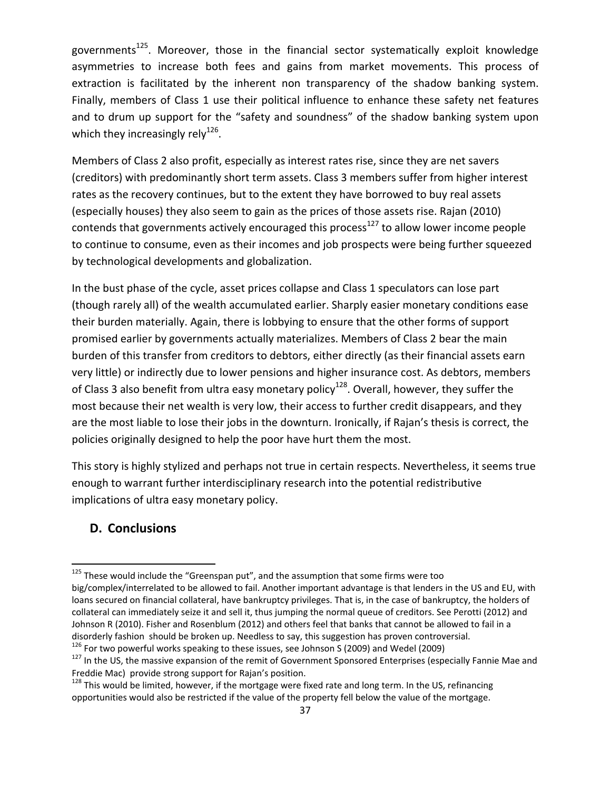governments<sup>125</sup>. Moreover, those in the financial sector systematically exploit knowledge asymmetries to increase both fees and gains from market movements. This process of extraction is facilitated by the inherent non transparency of the shadow banking system. Finally, members of Class 1 use their political influence to enhance these safety net features and to drum up support for the "safety and soundness" of the shadow banking system upon which they increasingly rely<sup>126</sup>.

Members of Class 2 also profit, especially as interest rates rise, since they are net savers (creditors) with predominantly short term assets. Class 3 members suffer from higher interest rates as the recovery continues, but to the extent they have borrowed to buy real assets (especially houses) they also seem to gain as the prices of those assets rise. Rajan (2010) contends that governments actively encouraged this process<sup>127</sup> to allow lower income people to continue to consume, even as their incomes and job prospects were being further squeezed by technological developments and globalization.

In the bust phase of the cycle, asset prices collapse and Class 1 speculators can lose part (though rarely all) of the wealth accumulated earlier. Sharply easier monetary conditions ease their burden materially. Again, there is lobbying to ensure that the other forms of support promised earlier by governments actually materializes. Members of Class 2 bear the main burden of this transfer from creditors to debtors, either directly (as their financial assets earn very little) or indirectly due to lower pensions and higher insurance cost. As debtors, members of Class 3 also benefit from ultra easy monetary policy<sup>128</sup>. Overall, however, they suffer the most because their net wealth is very low, their access to further credit disappears, and they are the most liable to lose their jobs in the downturn. Ironically, if Rajan's thesis is correct, the policies originally designed to help the poor have hurt them the most.

This story is highly stylized and perhaps not true in certain respects. Nevertheless, it seems true enough to warrant further interdisciplinary research into the potential redistributive implications of ultra easy monetary policy.

# **D. Conclusions**

 $125$  These would include the "Greenspan put", and the assumption that some firms were too big/complex/interrelated to be allowed to fail. Another important advantage is that lenders in the US and EU, with loans secured on financial collateral, have bankruptcy privileges. That is, in the case of bankruptcy, the holders of collateral can immediately seize it and sell it, thus jumping the normal queue of creditors. See Perotti (2012) and Johnson R (2010). Fisher and Rosenblum (2012) and others feel that banks that cannot be allowed to fail in a disorderly fashion should be broken up. Needless to say, this suggestion has proven controversial.<br><sup>126</sup> For two powerful works speaking to these issues, see Johnson S (2009) and Wedel (2009)<br><sup>127</sup> In the US, the massive e

Freddie Mac) provide strong support for Rajan's position.<br><sup>128</sup> This would be limited, however, if the mortgage were fixed rate and long term. In the US, refinancing

opportunities would also be restricted if the value of the property fell below the value of the mortgage.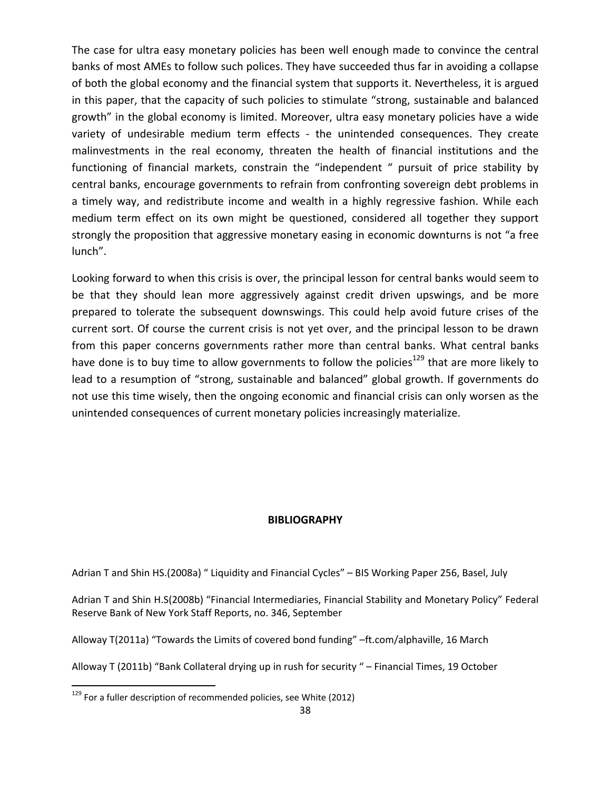The case for ultra easy monetary policies has been well enough made to convince the central banks of most AMEs to follow such polices. They have succeeded thus far in avoiding a collapse of both the global economy and the financial system that supports it. Nevertheless, it is argued in this paper, that the capacity of such policies to stimulate "strong, sustainable and balanced growth" in the global economy is limited. Moreover, ultra easy monetary policies have a wide variety of undesirable medium term effects - the unintended consequences. They create malinvestments in the real economy, threaten the health of financial institutions and the functioning of financial markets, constrain the "independent " pursuit of price stability by central banks, encourage governments to refrain from confronting sovereign debt problems in a timely way, and redistribute income and wealth in a highly regressive fashion. While each medium term effect on its own might be questioned, considered all together they support strongly the proposition that aggressive monetary easing in economic downturns is not "a free lunch".

Looking forward to when this crisis is over, the principal lesson for central banks would seem to be that they should lean more aggressively against credit driven upswings, and be more prepared to tolerate the subsequent downswings. This could help avoid future crises of the current sort. Of course the current crisis is not yet over, and the principal lesson to be drawn from this paper concerns governments rather more than central banks. What central banks have done is to buy time to allow governments to follow the policies<sup>129</sup> that are more likely to lead to a resumption of "strong, sustainable and balanced" global growth. If governments do not use this time wisely, then the ongoing economic and financial crisis can only worsen as the unintended consequences of current monetary policies increasingly materialize.

#### **BIBLIOGRAPHY**

Adrian T and Shin HS.(2008a) " Liquidity and Financial Cycles" – BIS Working Paper 256, Basel, July

Adrian T and Shin H.S(2008b) "Financial Intermediaries, Financial Stability and Monetary Policy" Federal Reserve Bank of New York Staff Reports, no. 346, September

Alloway T(2011a) "Towards the Limits of covered bond funding" –ft.com/alphaville, 16 March

Alloway T (2011b) "Bank Collateral drying up in rush for security " – Financial Times, 19 October

 $129$  For a fuller description of recommended policies, see White (2012)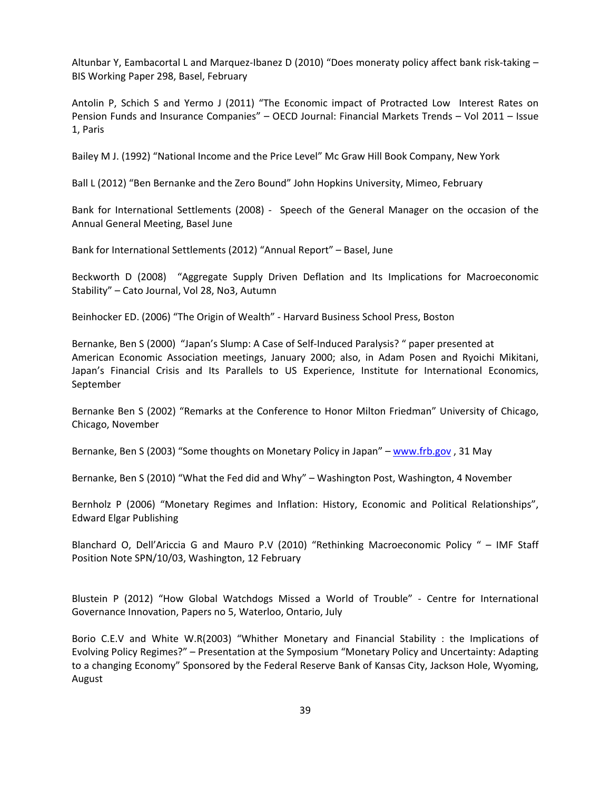Altunbar Y, Eambacortal L and Marquez‐Ibanez D (2010) "Does moneraty policy affect bank risk‐taking – BIS Working Paper 298, Basel, February

Antolin P, Schich S and Yermo J (2011) "The Economic impact of Protracted Low Interest Rates on Pension Funds and Insurance Companies" – OECD Journal: Financial Markets Trends – Vol 2011 – Issue 1, Paris

Bailey M J. (1992) "National Income and the Price Level" Mc Graw Hill Book Company, New York

Ball L (2012) "Ben Bernanke and the Zero Bound" John Hopkins University, Mimeo, February

Bank for International Settlements (2008) - Speech of the General Manager on the occasion of the Annual General Meeting, Basel June

Bank for International Settlements (2012) "Annual Report" – Basel, June

Beckworth D (2008) "Aggregate Supply Driven Deflation and Its Implications for Macroeconomic Stability" – Cato Journal, Vol 28, No3, Autumn

Beinhocker ED. (2006) "The Origin of Wealth" ‐ Harvard Business School Press, Boston

Bernanke, Ben S (2000) "Japan's Slump: A Case of Self‐Induced Paralysis? " paper presented at American Economic Association meetings, January 2000; also, in Adam Posen and Ryoichi Mikitani, Japan's Financial Crisis and Its Parallels to US Experience, Institute for International Economics, September

Bernanke Ben S (2002) "Remarks at the Conference to Honor Milton Friedman" University of Chicago, Chicago, November

Bernanke, Ben S (2003) "Some thoughts on Monetary Policy in Japan" – www.frb.gov, 31 May

Bernanke, Ben S (2010) "What the Fed did and Why" – Washington Post, Washington, 4 November

Bernholz P (2006) "Monetary Regimes and Inflation: History, Economic and Political Relationships", Edward Elgar Publishing

Blanchard O, Dell'Ariccia G and Mauro P.V (2010) "Rethinking Macroeconomic Policy " – IMF Staff Position Note SPN/10/03, Washington, 12 February

Blustein P (2012) "How Global Watchdogs Missed a World of Trouble" ‐ Centre for International Governance Innovation, Papers no 5, Waterloo, Ontario, July

Borio C.E.V and White W.R(2003) "Whither Monetary and Financial Stability : the Implications of Evolving Policy Regimes?" – Presentation at the Symposium "Monetary Policy and Uncertainty: Adapting to a changing Economy" Sponsored by the Federal Reserve Bank of Kansas City, Jackson Hole, Wyoming, August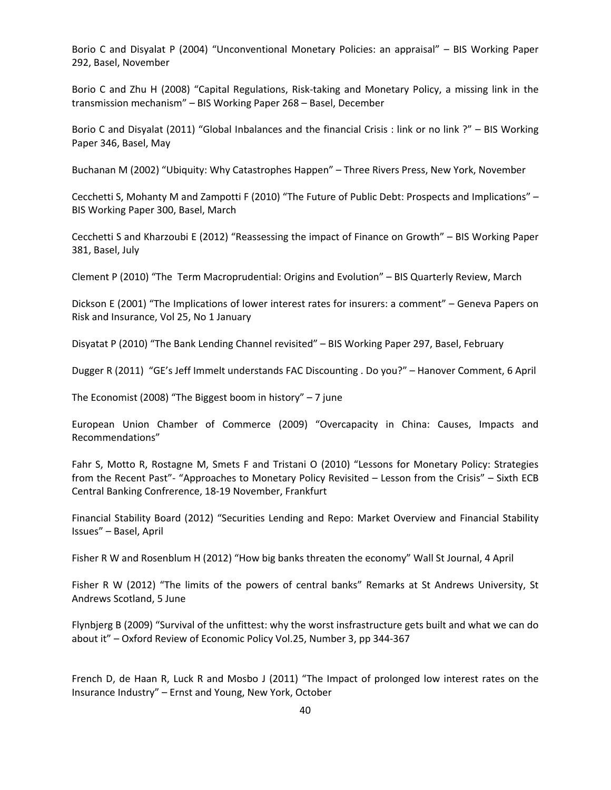Borio C and Disyalat P (2004) "Unconventional Monetary Policies: an appraisal" – BIS Working Paper 292, Basel, November

Borio C and Zhu H (2008) "Capital Regulations, Risk-taking and Monetary Policy, a missing link in the transmission mechanism" – BIS Working Paper 268 – Basel, December

Borio C and Disyalat (2011) "Global Inbalances and the financial Crisis : link or no link ?" – BIS Working Paper 346, Basel, May

Buchanan M (2002) "Ubiquity: Why Catastrophes Happen" – Three Rivers Press, New York, November

Cecchetti S, Mohanty M and Zampotti F (2010) "The Future of Public Debt: Prospects and Implications" – BIS Working Paper 300, Basel, March

Cecchetti S and Kharzoubi E (2012) "Reassessing the impact of Finance on Growth" – BIS Working Paper 381, Basel, July

Clement P (2010) "The Term Macroprudential: Origins and Evolution" – BIS Quarterly Review, March

Dickson E (2001) "The Implications of lower interest rates for insurers: a comment" – Geneva Papers on Risk and Insurance, Vol 25, No 1 January

Disyatat P (2010) "The Bank Lending Channel revisited" – BIS Working Paper 297, Basel, February

Dugger R (2011) "GE's Jeff Immelt understands FAC Discounting . Do you?" – Hanover Comment, 6 April

The Economist (2008) "The Biggest boom in history"  $-7$  june

European Union Chamber of Commerce (2009) "Overcapacity in China: Causes, Impacts and Recommendations"

Fahr S, Motto R, Rostagne M, Smets F and Tristani O (2010) "Lessons for Monetary Policy: Strategies from the Recent Past"‐ "Approaches to Monetary Policy Revisited – Lesson from the Crisis" – Sixth ECB Central Banking Confrerence, 18‐19 November, Frankfurt

Financial Stability Board (2012) "Securities Lending and Repo: Market Overview and Financial Stability Issues" – Basel, April

Fisher R W and Rosenblum H (2012) "How big banks threaten the economy" Wall St Journal, 4 April

Fisher R W (2012) "The limits of the powers of central banks" Remarks at St Andrews University, St Andrews Scotland, 5 June

Flynbjerg B (2009) "Survival of the unfittest: why the worst insfrastructure gets built and what we can do about it" – Oxford Review of Economic Policy Vol.25, Number 3, pp 344‐367

French D, de Haan R, Luck R and Mosbo J (2011) "The Impact of prolonged low interest rates on the Insurance Industry" – Ernst and Young, New York, October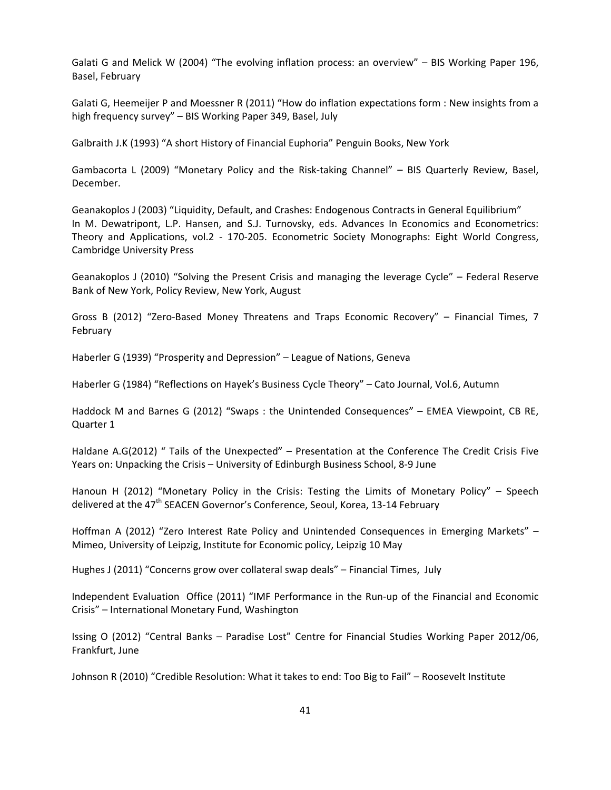Galati G and Melick W (2004) "The evolving inflation process: an overview" – BIS Working Paper 196, Basel, February

Galati G, Heemeijer P and Moessner R (2011) "How do inflation expectations form : New insights from a high frequency survey" – BIS Working Paper 349, Basel, July

Galbraith J.K (1993) "A short History of Financial Euphoria" Penguin Books, New York

Gambacorta L (2009) "Monetary Policy and the Risk‐taking Channel" – BIS Quarterly Review, Basel, December.

Geanakoplos J (2003) "Liquidity, Default, and Crashes: Endogenous Contracts in General Equilibrium" In M. Dewatripont, L.P. Hansen, and S.J. Turnovsky, eds. Advances In Economics and Econometrics: Theory and Applications, vol.2 ‐ 170‐205. Econometric Society Monographs: Eight World Congress, Cambridge University Press

Geanakoplos J (2010) "Solving the Present Crisis and managing the leverage Cycle" – Federal Reserve Bank of New York, Policy Review, New York, August

Gross B (2012) "Zero‐Based Money Threatens and Traps Economic Recovery" – Financial Times, 7 February

Haberler G (1939) "Prosperity and Depression" – League of Nations, Geneva

Haberler G (1984) "Reflections on Hayek's Business Cycle Theory" – Cato Journal, Vol.6, Autumn

Haddock M and Barnes G (2012) "Swaps : the Unintended Consequences" – EMEA Viewpoint, CB RE, Quarter 1

Haldane A.G(2012) " Tails of the Unexpected" – Presentation at the Conference The Credit Crisis Five Years on: Unpacking the Crisis – University of Edinburgh Business School, 8‐9 June

Hanoun H (2012) "Monetary Policy in the Crisis: Testing the Limits of Monetary Policy" – Speech delivered at the 47<sup>th</sup> SEACEN Governor's Conference, Seoul, Korea, 13-14 February

Hoffman A (2012) "Zero Interest Rate Policy and Unintended Consequences in Emerging Markets" – Mimeo, University of Leipzig, Institute for Economic policy, Leipzig 10 May

Hughes J (2011) "Concerns grow over collateral swap deals" – Financial Times, July

Independent Evaluation Office (2011) "IMF Performance in the Run‐up of the Financial and Economic Crisis" – International Monetary Fund, Washington

Issing O (2012) "Central Banks – Paradise Lost" Centre for Financial Studies Working Paper 2012/06, Frankfurt, June

Johnson R (2010) "Credible Resolution: What it takes to end: Too Big to Fail" – Roosevelt Institute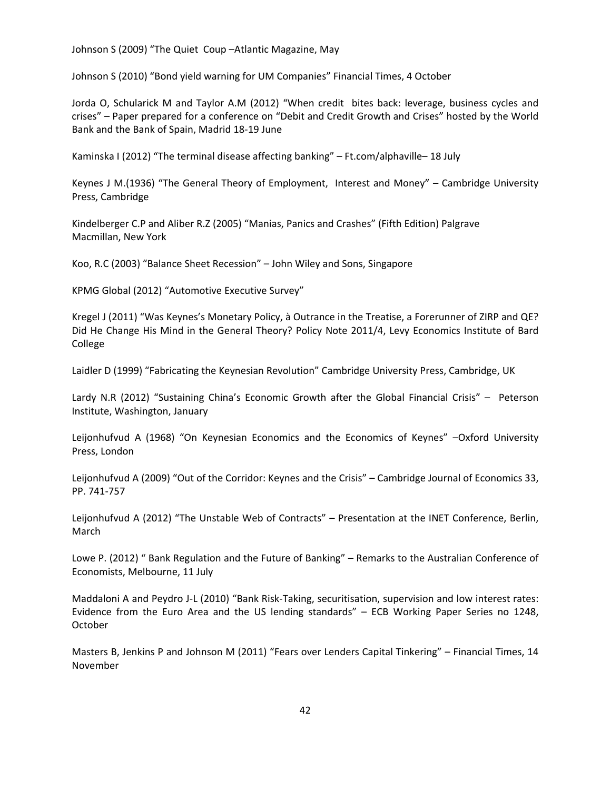Johnson S (2009) "The Quiet Coup –Atlantic Magazine, May

Johnson S (2010) "Bond yield warning for UM Companies" Financial Times, 4 October

Jorda O, Schularick M and Taylor A.M (2012) "When credit bites back: leverage, business cycles and crises" – Paper prepared for a conference on "Debit and Credit Growth and Crises" hosted by the World Bank and the Bank of Spain, Madrid 18‐19 June

Kaminska I (2012) "The terminal disease affecting banking" – Ft.com/alphaville– 18 July

Keynes J M.(1936) "The General Theory of Employment, Interest and Money" – Cambridge University Press, Cambridge

Kindelberger C.P and Aliber R.Z (2005) "Manias, Panics and Crashes" (Fifth Edition) Palgrave Macmillan, New York

Koo, R.C (2003) "Balance Sheet Recession" – John Wiley and Sons, Singapore

KPMG Global (2012) "Automotive Executive Survey"

Kregel J (2011) "Was Keynes's Monetary Policy, à Outrance in the Treatise, a Forerunner of ZIRP and QE? Did He Change His Mind in the General Theory? Policy Note 2011/4, Levy Economics Institute of Bard College

Laidler D (1999) "Fabricating the Keynesian Revolution" Cambridge University Press, Cambridge, UK

Lardy N.R (2012) "Sustaining China's Economic Growth after the Global Financial Crisis" – Peterson Institute, Washington, January

Leijonhufvud A (1968) "On Keynesian Economics and the Economics of Keynes" –Oxford University Press, London

Leijonhufvud A (2009) "Out of the Corridor: Keynes and the Crisis" – Cambridge Journal of Economics 33, PP. 741‐757

Leijonhufvud A (2012) "The Unstable Web of Contracts" – Presentation at the INET Conference, Berlin, March

Lowe P. (2012) " Bank Regulation and the Future of Banking" – Remarks to the Australian Conference of Economists, Melbourne, 11 July

Maddaloni A and Peydro J-L (2010) "Bank Risk-Taking, securitisation, supervision and low interest rates: Evidence from the Euro Area and the US lending standards" – ECB Working Paper Series no 1248, October

Masters B, Jenkins P and Johnson M (2011) "Fears over Lenders Capital Tinkering" – Financial Times, 14 November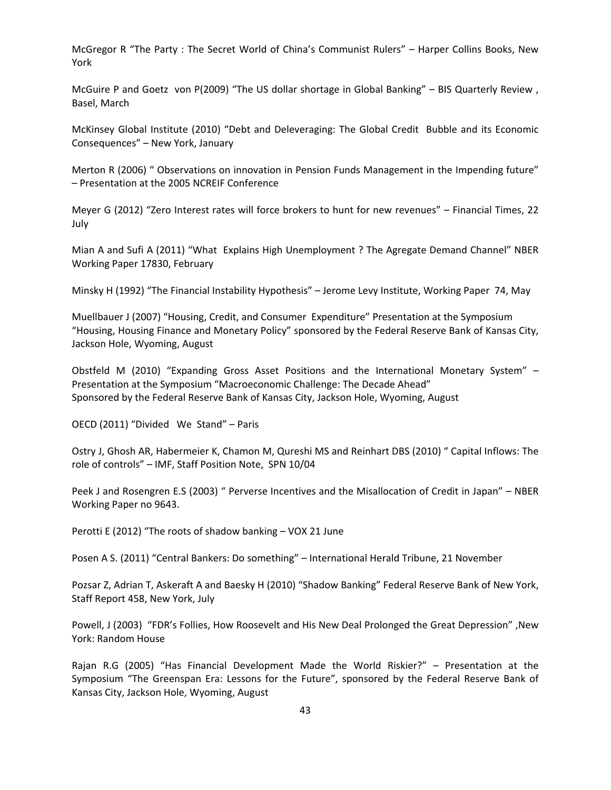McGregor R "The Party : The Secret World of China's Communist Rulers" – Harper Collins Books, New York

McGuire P and Goetz von P(2009) "The US dollar shortage in Global Banking" – BIS Quarterly Review , Basel, March

McKinsey Global Institute (2010) "Debt and Deleveraging: The Global Credit Bubble and its Economic Consequences" – New York, January

Merton R (2006) " Observations on innovation in Pension Funds Management in the Impending future" – Presentation at the 2005 NCREIF Conference

Meyer G (2012) "Zero Interest rates will force brokers to hunt for new revenues" – Financial Times, 22 July

Mian A and Sufi A (2011) "What Explains High Unemployment ? The Agregate Demand Channel" NBER Working Paper 17830, February

Minsky H (1992) "The Financial Instability Hypothesis" – Jerome Levy Institute, Working Paper 74, May

Muellbauer J (2007) "Housing, Credit, and Consumer Expenditure" Presentation at the Symposium "Housing, Housing Finance and Monetary Policy" sponsored by the Federal Reserve Bank of Kansas City, Jackson Hole, Wyoming, August

Obstfeld M (2010) "Expanding Gross Asset Positions and the International Monetary System" – Presentation at the Symposium "Macroeconomic Challenge: The Decade Ahead" Sponsored by the Federal Reserve Bank of Kansas City, Jackson Hole, Wyoming, August

OECD (2011) "Divided We Stand" – Paris

Ostry J, Ghosh AR, Habermeier K, Chamon M, Qureshi MS and Reinhart DBS (2010) " Capital Inflows: The role of controls" – IMF, Staff Position Note, SPN 10/04

Peek J and Rosengren E.S (2003) " Perverse Incentives and the Misallocation of Credit in Japan" – NBER Working Paper no 9643.

Perotti E (2012) "The roots of shadow banking – VOX 21 June

Posen A S. (2011) "Central Bankers: Do something" – International Herald Tribune, 21 November

Pozsar Z, Adrian T, Askeraft A and Baesky H (2010) "Shadow Banking" Federal Reserve Bank of New York, Staff Report 458, New York, July

Powell, J (2003) "FDR's Follies, How Roosevelt and His New Deal Prolonged the Great Depression" ,New York: Random House

Rajan R.G (2005) "Has Financial Development Made the World Riskier?" – Presentation at the Symposium "The Greenspan Era: Lessons for the Future", sponsored by the Federal Reserve Bank of Kansas City, Jackson Hole, Wyoming, August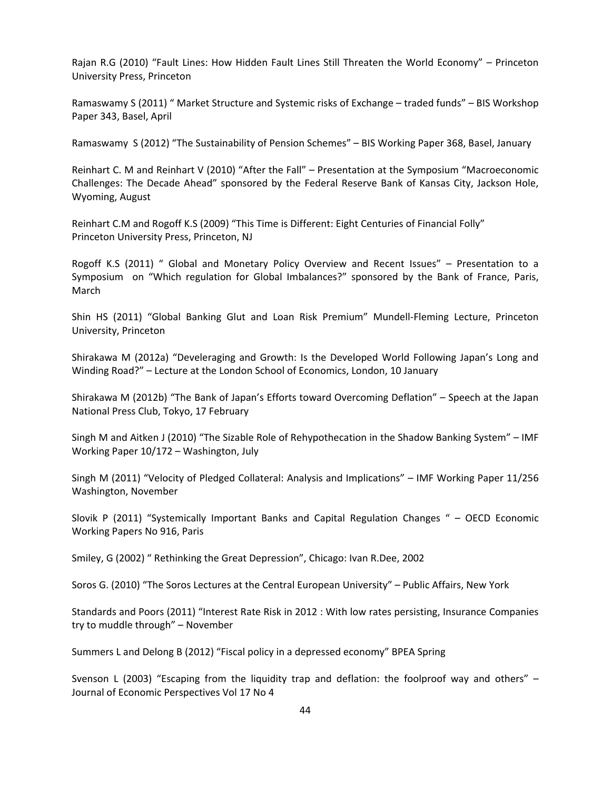Rajan R.G (2010) "Fault Lines: How Hidden Fault Lines Still Threaten the World Economy" – Princeton University Press, Princeton

Ramaswamy S (2011) " Market Structure and Systemic risks of Exchange – traded funds" – BIS Workshop Paper 343, Basel, April

Ramaswamy S (2012) "The Sustainability of Pension Schemes" – BIS Working Paper 368, Basel, January

Reinhart C. M and Reinhart V (2010) "After the Fall" – Presentation at the Symposium "Macroeconomic Challenges: The Decade Ahead" sponsored by the Federal Reserve Bank of Kansas City, Jackson Hole, Wyoming, August

Reinhart C.M and Rogoff K.S (2009) "This Time is Different: Eight Centuries of Financial Folly" Princeton University Press, Princeton, NJ

Rogoff K.S (2011) " Global and Monetary Policy Overview and Recent Issues" – Presentation to a Symposium on "Which regulation for Global Imbalances?" sponsored by the Bank of France, Paris, March

Shin HS (2011) "Global Banking Glut and Loan Risk Premium" Mundell‐Fleming Lecture, Princeton University, Princeton

Shirakawa M (2012a) "Develeraging and Growth: Is the Developed World Following Japan's Long and Winding Road?" – Lecture at the London School of Economics, London, 10 January

Shirakawa M (2012b) "The Bank of Japan's Efforts toward Overcoming Deflation" – Speech at the Japan National Press Club, Tokyo, 17 February

Singh M and Aitken J (2010) "The Sizable Role of Rehypothecation in the Shadow Banking System" – IMF Working Paper 10/172 – Washington, July

Singh M (2011) "Velocity of Pledged Collateral: Analysis and Implications" – IMF Working Paper 11/256 Washington, November

Slovik P (2011) "Systemically Important Banks and Capital Regulation Changes " – OECD Economic Working Papers No 916, Paris

Smiley, G (2002) " Rethinking the Great Depression", Chicago: Ivan R.Dee, 2002

Soros G. (2010) "The Soros Lectures at the Central European University" – Public Affairs, New York

Standards and Poors (2011) "Interest Rate Risk in 2012 : With low rates persisting, Insurance Companies try to muddle through" – November

Summers L and Delong B (2012) "Fiscal policy in a depressed economy" BPEA Spring

Svenson L (2003) "Escaping from the liquidity trap and deflation: the foolproof way and others" – Journal of Economic Perspectives Vol 17 No 4